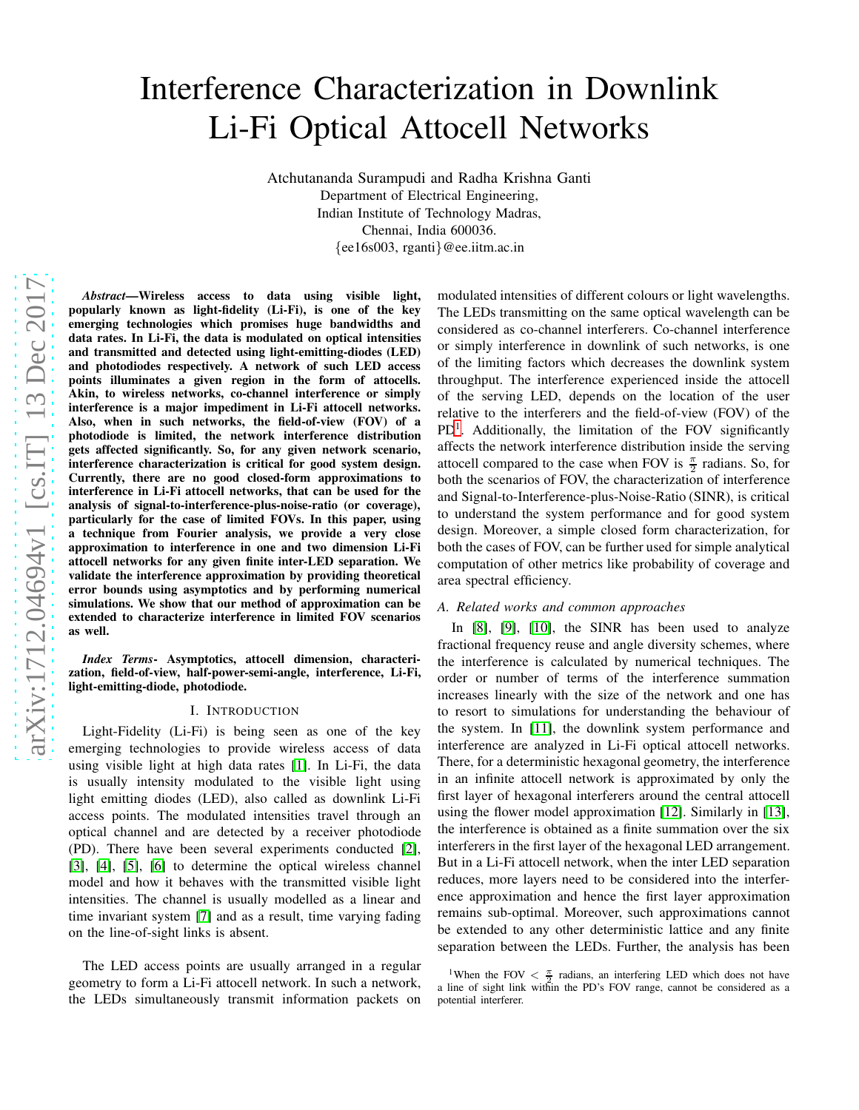# Interference Characterization in Downlink Li-Fi Optical Attocell Networks

Atchutananda Surampudi and Radha Krishna Ganti Department of Electrical Engineering, Indian Institute of Technology Madras, Chennai, India 600036. {ee16s003, rganti}@ee.iitm.ac.in

*Abstract*—Wireless access to data using visible light, popularly known as light-fidelity (Li-Fi), is one of the key emerging technologies which promises huge bandwidths and data rates. In Li-Fi, the data is modulated on optical intensities and transmitted and detected using light-emitting-diodes (LED) and photodiodes respectively. A network of such LED access points illuminates a given region in the form of attocells. Akin, to wireless networks, co-channel interference or simply interference is a major impediment in Li-Fi attocell networks. Also, when in such networks, the field-of-view (FOV) of a photodiode is limited, the network interference distribution gets affected significantly. So, for any given network scenario, interference characterization is critical for good system design. Currently, there are no good closed-form approximations to interference in Li-Fi attocell networks, that can be used for the analysis of signal-to-interference-plus-noise-ratio (or coverage), particularly for the case of limited FOVs. In this paper, using a technique from Fourier analysis, we provide a very close approximation to interference in one and two dimension Li-Fi attocell networks for any given finite inter-LED separation. We validate the interference approximation by providing theoretical error bounds using asymptotics and by performing numerical simulations. We show that our method of approximation can be extended to characterize interference in limited FOV scenarios as well.

*Index Terms*- Asymptotics, attocell dimension, characterization, field-of-view, half-power-semi-angle, interference, Li-Fi, light-emitting-diode, photodiode.

# I. INTRODUCTION

Light-Fidelity (Li-Fi) is being seen as one of the key emerging technologies to provide wireless access of data using visible light at high data rates [\[1\]](#page-12-0). In Li-Fi, the data is usually intensity modulated to the visible light using light emitting diodes (LED), also called as downlink Li-Fi access points. The modulated intensities travel through an optical channel and are detected by a receiver photodiode (PD). There have been several experiments conducted [\[2\]](#page-12-1), [\[3\]](#page-12-2), [\[4\]](#page-12-3), [\[5\]](#page-12-4), [\[6\]](#page-12-5) to determine the optical wireless channel model and how it behaves with the transmitted visible light intensities. The channel is usually modelled as a linear and time invariant system [\[7\]](#page-12-6) and as a result, time varying fading on the line-of-sight links is absent.

The LED access points are usually arranged in a regular geometry to form a Li-Fi attocell network. In such a network, the LEDs simultaneously transmit information packets on modulated intensities of different colours or light wavelengths. The LEDs transmitting on the same optical wavelength can be considered as co-channel interferers. Co-channel interference or simply interference in downlink of such networks, is one of the limiting factors which decreases the downlink system throughput. The interference experienced inside the attocell of the serving LED, depends on the location of the user relative to the interferers and the field-of-view (FOV) of the  $PD<sup>1</sup>$  $PD<sup>1</sup>$  $PD<sup>1</sup>$ . Additionally, the limitation of the FOV significantly affects the network interference distribution inside the serving attocell compared to the case when FOV is  $\frac{\pi}{2}$  radians. So, for both the scenarios of FOV, the characterization of interference and Signal-to-Interference-plus-Noise-Ratio (SINR), is critical to understand the system performance and for good system design. Moreover, a simple closed form characterization, for both the cases of FOV, can be further used for simple analytical computation of other metrics like probability of coverage and area spectral efficiency.

# *A. Related works and common approaches*

In [\[8\]](#page-12-7), [\[9\]](#page-12-8), [\[10\]](#page-12-9), the SINR has been used to analyze fractional frequency reuse and angle diversity schemes, where the interference is calculated by numerical techniques. The order or number of terms of the interference summation increases linearly with the size of the network and one has to resort to simulations for understanding the behaviour of the system. In [\[11\]](#page-12-10), the downlink system performance and interference are analyzed in Li-Fi optical attocell networks. There, for a deterministic hexagonal geometry, the interference in an infinite attocell network is approximated by only the first layer of hexagonal interferers around the central attocell using the flower model approximation [\[12\]](#page-12-11). Similarly in [\[13\]](#page-12-12), the interference is obtained as a finite summation over the six interferers in the first layer of the hexagonal LED arrangement. But in a Li-Fi attocell network, when the inter LED separation reduces, more layers need to be considered into the interference approximation and hence the first layer approximation remains sub-optimal. Moreover, such approximations cannot be extended to any other deterministic lattice and any finite separation between the LEDs. Further, the analysis has been

<span id="page-0-0"></span><sup>&</sup>lt;sup>1</sup>When the FOV  $\lt \frac{\pi}{2}$  radians, an interfering LED which does not have a line of sight link within the PD's FOV range, cannot be considered as a potential interferer.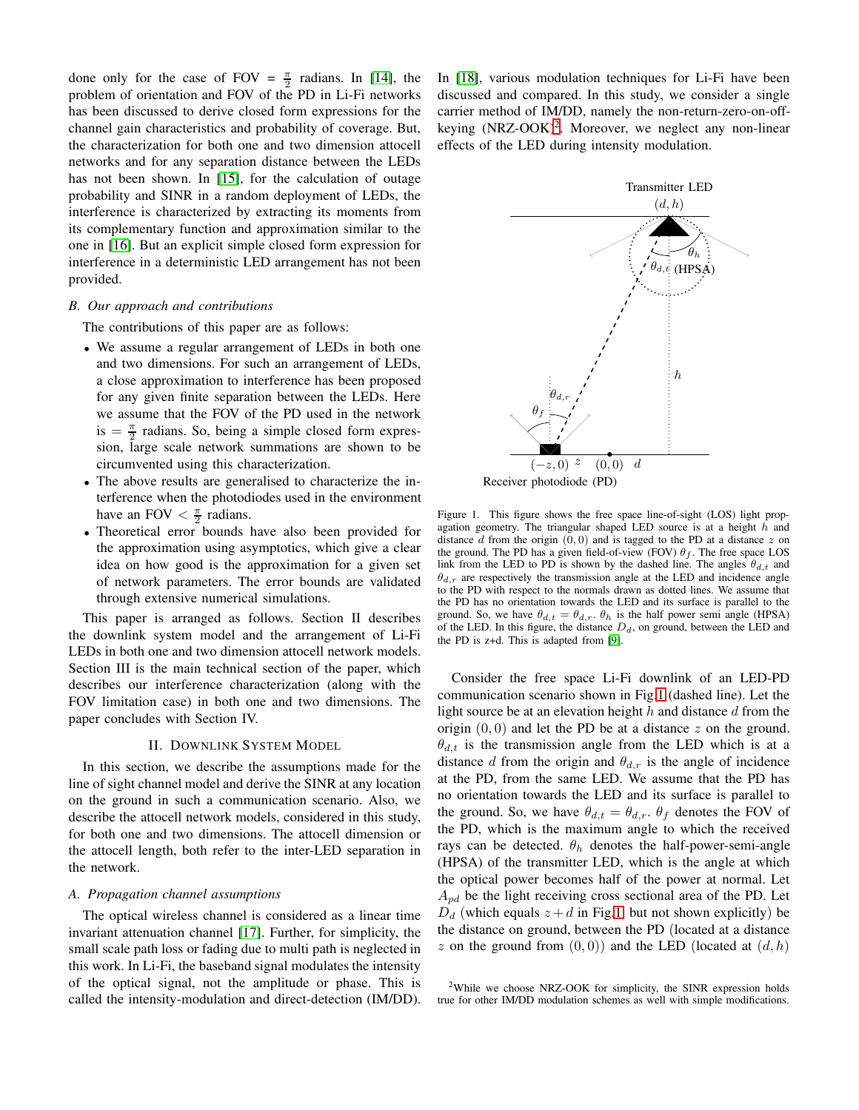done only for the case of FOV =  $\frac{\pi}{2}$  radians. In [\[14\]](#page-12-13), the problem of orientation and FOV of the PD in Li-Fi networks has been discussed to derive closed form expressions for the channel gain characteristics and probability of coverage. But, the characterization for both one and two dimension attocell networks and for any separation distance between the LEDs has not been shown. In [\[15\]](#page-12-14), for the calculation of outage probability and SINR in a random deployment of LEDs, the interference is characterized by extracting its moments from its complementary function and approximation similar to the one in [\[16\]](#page-12-15). But an explicit simple closed form expression for interference in a deterministic LED arrangement has not been provided.

# *B. Our approach and contributions*

The contributions of this paper are as follows:

- We assume a regular arrangement of LEDs in both one and two dimensions. For such an arrangement of LEDs, a close approximation to interference has been proposed for any given finite separation between the LEDs. Here we assume that the FOV of the PD used in the network is  $=\frac{\pi}{2}$  radians. So, being a simple closed form expression, large scale network summations are shown to be circumvented using this characterization.
- The above results are generalised to characterize the interference when the photodiodes used in the environment have an FOV  $\frac{\pi}{2}$  radians.
- Theoretical error bounds have also been provided for the approximation using asymptotics, which give a clear idea on how good is the approximation for a given set of network parameters. The error bounds are validated through extensive numerical simulations.

This paper is arranged as follows. Section II describes the downlink system model and the arrangement of Li-Fi LEDs in both one and two dimension attocell network models. Section III is the main technical section of the paper, which describes our interference characterization (along with the FOV limitation case) in both one and two dimensions. The paper concludes with Section IV.

#### II. DOWNLINK SYSTEM MODEL

In this section, we describe the assumptions made for the line of sight channel model and derive the SINR at any location on the ground in such a communication scenario. Also, we describe the attocell network models, considered in this study, for both one and two dimensions. The attocell dimension or the attocell length, both refer to the inter-LED separation in the network.

# *A. Propagation channel assumptions*

The optical wireless channel is considered as a linear time invariant attenuation channel [\[17\]](#page-12-16). Further, for simplicity, the small scale path loss or fading due to multi path is neglected in this work. In Li-Fi, the baseband signal modulates the intensity of the optical signal, not the amplitude or phase. This is called the intensity-modulation and direct-detection (IM/DD). In [\[18\]](#page-12-17), various modulation techniques for Li-Fi have been discussed and compared. In this study, we consider a single carrier method of IM/DD, namely the non-return-zero-on-off-keying (NRZ-OOK)<sup>[2](#page-1-0)</sup>. Moreover, we neglect any non-linear effects of the LED during intensity modulation.



<span id="page-1-1"></span>Figure 1. This figure shows the free space line-of-sight (LOS) light propagation geometry. The triangular shaped LED source is at a height  $h$  and distance  $d$  from the origin  $(0, 0)$  and is tagged to the PD at a distance  $z$  on the ground. The PD has a given field-of-view (FOV)  $\theta_f$ . The free space LOS link from the LED to PD is shown by the dashed line. The angles  $\theta_{d,t}$  and  $\theta_{d,r}$  are respectively the transmission angle at the LED and incidence angle to the PD with respect to the normals drawn as dotted lines. We assume that the PD has no orientation towards the LED and its surface is parallel to the ground. So, we have  $\theta_{d,t} = \theta_{d,r}$ .  $\theta_h$  is the half power semi angle (HPSA) of the LED. In this figure, the distance  $D_d$ , on ground, between the LED and the PD is z+d. This is adapted from [\[9\]](#page-12-8).

Consider the free space Li-Fi downlink of an LED-PD communication scenario shown in Fig[.1](#page-1-1) (dashed line). Let the light source be at an elevation height  $h$  and distance  $d$  from the origin  $(0, 0)$  and let the PD be at a distance z on the ground.  $\theta_{d,t}$  is the transmission angle from the LED which is at a distance d from the origin and  $\theta_{d,r}$  is the angle of incidence at the PD, from the same LED. We assume that the PD has no orientation towards the LED and its surface is parallel to the ground. So, we have  $\theta_{d,t} = \theta_{d,r}$ .  $\theta_f$  denotes the FOV of the PD, which is the maximum angle to which the received rays can be detected.  $\theta_h$  denotes the half-power-semi-angle (HPSA) of the transmitter LED, which is the angle at which the optical power becomes half of the power at normal. Let  $A_{pd}$  be the light receiving cross sectional area of the PD. Let  $D_d$  (which equals  $z + d$  in Fig[.1,](#page-1-1) but not shown explicitly) be the distance on ground, between the PD (located at a distance z on the ground from  $(0, 0)$  and the LED (located at  $(d, h)$ )

<span id="page-1-0"></span><sup>2</sup>While we choose NRZ-OOK for simplicity, the SINR expression holds true for other IM/DD modulation schemes as well with simple modifications.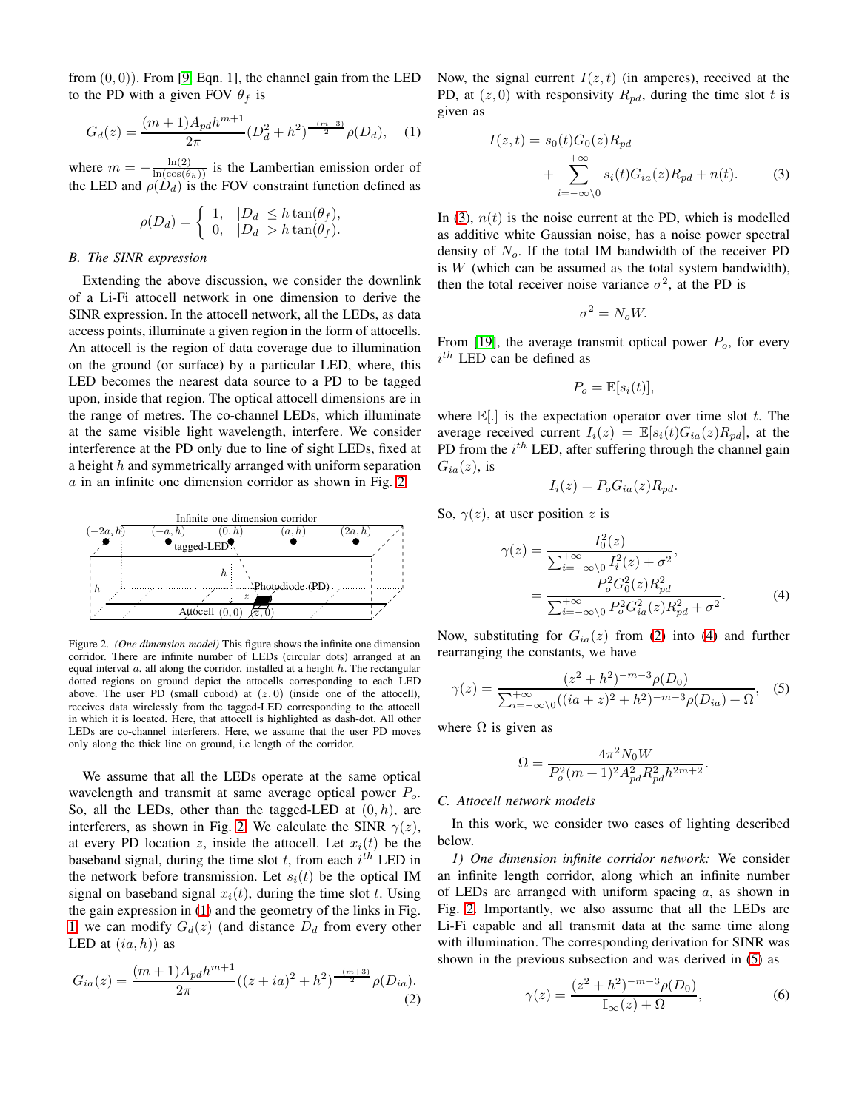from  $(0, 0)$ ). From [\[9,](#page-12-8) Eqn. 1], the channel gain from the LED to the PD with a given FOV  $\theta_f$  is

<span id="page-2-1"></span>
$$
G_d(z) = \frac{(m+1)A_{pd}h^{m+1}}{2\pi} (D_d^2 + h^2)^{\frac{-(m+3)}{2}} \rho(D_d), \quad (1)
$$

where  $m = -\frac{\ln(2)}{\ln(\cos(\theta_h))}$  is the Lambertian emission order of the LED and  $\rho(D_d)$  is the FOV constraint function defined as

$$
\rho(D_d) = \begin{cases} 1, & |D_d| \leq h \tan(\theta_f), \\ 0, & |D_d| > h \tan(\theta_f). \end{cases}
$$

#### *B. The SINR expression*

Extending the above discussion, we consider the downlink of a Li-Fi attocell network in one dimension to derive the SINR expression. In the attocell network, all the LEDs, as data access points, illuminate a given region in the form of attocells. An attocell is the region of data coverage due to illumination on the ground (or surface) by a particular LED, where, this LED becomes the nearest data source to a PD to be tagged upon, inside that region. The optical attocell dimensions are in the range of metres. The co-channel LEDs, which illuminate at the same visible light wavelength, interfere. We consider interference at the PD only due to line of sight LEDs, fixed at a height h and symmetrically arranged with uniform separation  $a$  in an infinite one dimension corridor as shown in Fig. [2.](#page-2-0)



<span id="page-2-0"></span>Figure 2. *(One dimension model)* This figure shows the infinite one dimension corridor. There are infinite number of LEDs (circular dots) arranged at an equal interval  $a$ , all along the corridor, installed at a height  $h$ . The rectangular dotted regions on ground depict the attocells corresponding to each LED above. The user PD (small cuboid) at  $(z, 0)$  (inside one of the attocell), receives data wirelessly from the tagged-LED corresponding to the attocell in which it is located. Here, that attocell is highlighted as dash-dot. All other LEDs are co-channel interferers. Here, we assume that the user PD moves only along the thick line on ground, i.e length of the corridor.

We assume that all the LEDs operate at the same optical wavelength and transmit at same average optical power  $P<sub>o</sub>$ . So, all the LEDs, other than the tagged-LED at  $(0, h)$ , are interferers, as shown in Fig. [2.](#page-2-0) We calculate the SINR  $\gamma(z)$ , at every PD location z, inside the attocell. Let  $x_i(t)$  be the baseband signal, during the time slot  $t$ , from each  $i<sup>th</sup>$  LED in the network before transmission. Let  $s_i(t)$  be the optical IM signal on baseband signal  $x_i(t)$ , during the time slot t. Using the gain expression in [\(1\)](#page-2-1) and the geometry of the links in Fig. [1,](#page-1-1) we can modify  $G_d(z)$  (and distance  $D_d$  from every other LED at  $(ia, h)$  as

<span id="page-2-3"></span>
$$
G_{ia}(z) = \frac{(m+1)A_{pd}h^{m+1}}{2\pi}((z+ia)^2 + h^2)^{\frac{-(m+3)}{2}}\rho(D_{ia}).
$$
\n(2)

Now, the signal current  $I(z, t)$  (in amperes), received at the PD, at  $(z, 0)$  with responsivity  $R_{pd}$ , during the time slot t is given as

$$
I(z,t) = s_0(t)G_0(z)R_{pd}
$$
  
+ 
$$
\sum_{i=-\infty\backslash 0}^{+\infty} s_i(t)G_{ia}(z)R_{pd} + n(t).
$$
 (3)

In [\(3\)](#page-2-2),  $n(t)$  is the noise current at the PD, which is modelled as additive white Gaussian noise, has a noise power spectral density of  $N<sub>o</sub>$ . If the total IM bandwidth of the receiver PD is  $W$  (which can be assumed as the total system bandwidth), then the total receiver noise variance  $\sigma^2$ , at the PD is

<span id="page-2-2"></span>
$$
\sigma^2 = N_o W.
$$

From [\[19\]](#page-12-18), the average transmit optical power  $P<sub>o</sub>$ , for every  $i^{th}$  LED can be defined as

$$
P_o = \mathbb{E}[s_i(t)],
$$

where  $\mathbb{E}[.]$  is the expectation operator over time slot t. The average received current  $I_i(z) = \mathbb{E}[s_i(t)G_{ia}(z)R_{pd}]$ , at the PD from the  $i^{th}$  LED, after suffering through the channel gain  $G_{ia}(z)$ , is

<span id="page-2-4"></span>
$$
I_i(z) = P_o G_{ia}(z) R_{pd}.
$$

So,  $\gamma(z)$ , at user position z is

$$
\gamma(z) = \frac{I_0^2(z)}{\sum_{i=-\infty}^{+\infty} 0} \frac{I_i^2(z) + \sigma^2}{I_i^2(z) + \sigma^2},
$$
  
= 
$$
\frac{P_o^2 G_0^2(z) R_{pd}^2}{\sum_{i=-\infty}^{+\infty} 0} \frac{P_o^2 G_{ia}^2(z) R_{pd}^2 + \sigma^2}{P_o^2 G_{ia}^2(z) R_{pd}^2 + \sigma^2}.
$$
 (4)

Now, substituting for  $G_{ia}(z)$  from [\(2\)](#page-2-3) into [\(4\)](#page-2-4) and further rearranging the constants, we have

<span id="page-2-5"></span>
$$
\gamma(z) = \frac{(z^2 + h^2)^{-m-3} \rho(D_0)}{\sum_{i=-\infty}^{+\infty} (i(a+z)^2 + h^2)^{-m-3} \rho(D_{ia}) + \Omega}, \quad (5)
$$

where  $\Omega$  is given as

$$
\Omega = \frac{4\pi^2 N_0 W}{P_o^2 (m+1)^2 A_{pd}^2 R_{pd}^2 h^{2m+2}}.
$$

#### *C. Attocell network models*

In this work, we consider two cases of lighting described below.

*1) One dimension infinite corridor network:* We consider an infinite length corridor, along which an infinite number of LEDs are arranged with uniform spacing  $a$ , as shown in Fig. [2.](#page-2-0) Importantly, we also assume that all the LEDs are Li-Fi capable and all transmit data at the same time along with illumination. The corresponding derivation for SINR was shown in the previous subsection and was derived in [\(5\)](#page-2-5) as

<span id="page-2-6"></span>
$$
\gamma(z) = \frac{(z^2 + h^2)^{-m-3} \rho(D_0)}{\mathbb{I}_{\infty}(z) + \Omega},\tag{6}
$$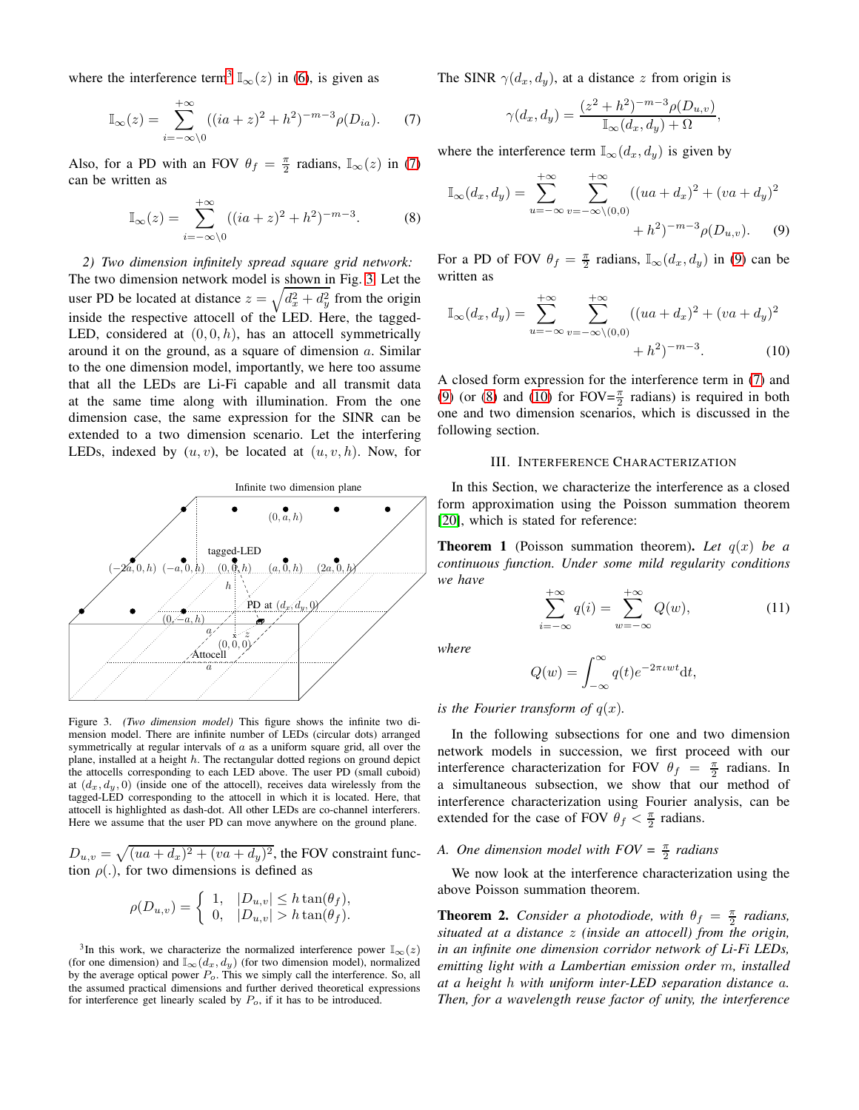where the interference term<sup>[3](#page-3-0)</sup>  $\mathbb{I}_{\infty}(z)$  in [\(6\)](#page-2-6), is given as

<span id="page-3-1"></span>
$$
\mathbb{I}_{\infty}(z) = \sum_{i=-\infty}^{+\infty} ((ia+z)^2 + h^2)^{-m-3} \rho(D_{ia}).
$$
 (7)

Also, for a PD with an FOV  $\theta_f = \frac{\pi}{2}$  radians,  $\mathbb{I}_{\infty}(z)$  in [\(7\)](#page-3-1) can be written as

<span id="page-3-4"></span>
$$
\mathbb{I}_{\infty}(z) = \sum_{i=-\infty\backslash 0}^{+\infty} ((ia+z)^2 + h^2)^{-m-3}.
$$
 (8)

*2) Two dimension infinitely spread square grid network:* The two dimension network model is shown in Fig. [3.](#page-3-2) Let the user PD be located at distance  $z = \sqrt{d_x^2 + d_y^2}$  from the origin inside the respective attocell of the LED. Here, the tagged-LED, considered at  $(0, 0, h)$ , has an attocell symmetrically around it on the ground, as a square of dimension a. Similar to the one dimension model, importantly, we here too assume that all the LEDs are Li-Fi capable and all transmit data at the same time along with illumination. From the one dimension case, the same expression for the SINR can be extended to a two dimension scenario. Let the interfering LEDs, indexed by  $(u, v)$ , be located at  $(u, v, h)$ . Now, for



<span id="page-3-2"></span>Figure 3. *(Two dimension model)* This figure shows the infinite two dimension model. There are infinite number of LEDs (circular dots) arranged symmetrically at regular intervals of  $a$  as a uniform square grid, all over the plane, installed at a height  $h$ . The rectangular dotted regions on ground depict the attocells corresponding to each LED above. The user PD (small cuboid) at  $(d_x, d_y, 0)$  (inside one of the attocell), receives data wirelessly from the tagged-LED corresponding to the attocell in which it is located. Here, that attocell is highlighted as dash-dot. All other LEDs are co-channel interferers. Here we assume that the user PD can move anywhere on the ground plane.

 $D_{u,v} = \sqrt{(ua + d_x)^2 + (va + d_y)^2}$ , the FOV constraint function  $\rho(.)$ , for two dimensions is defined as

$$
\rho(D_{u,v}) = \begin{cases} 1, & |D_{u,v}| \leq h \tan(\theta_f), \\ 0, & |D_{u,v}| > h \tan(\theta_f). \end{cases}
$$

<span id="page-3-0"></span><sup>3</sup>In this work, we characterize the normalized interference power  $\mathbb{I}_{\infty}(z)$ (for one dimension) and  $\mathbb{I}_{\infty}(d_x, d_y)$  (for two dimension model), normalized by the average optical power  $P<sub>o</sub>$ . This we simply call the interference. So, all the assumed practical dimensions and further derived theoretical expressions for interference get linearly scaled by  $P<sub>o</sub>$ , if it has to be introduced.

The SINR  $\gamma(d_x, d_y)$ , at a distance z from origin is

<span id="page-3-3"></span>
$$
\gamma(d_x, d_y) = \frac{(z^2 + h^2)^{-m-3} \rho(D_{u,v})}{\mathbb{I}_{\infty}(d_x, d_y) + \Omega},
$$

where the interference term  $\mathbb{I}_{\infty}(d_x, d_y)$  is given by

$$
\mathbb{I}_{\infty}(d_x, d_y) = \sum_{u = -\infty}^{+\infty} \sum_{v = -\infty \setminus (0,0)}^{+\infty} ((ua + d_x)^2 + (va + d_y)^2 + (va + d_y)^2 + h^2)^{-m-3} \rho(D_{u,v}).
$$
 (9)

For a PD of FOV  $\theta_f = \frac{\pi}{2}$  radians,  $\mathbb{I}_{\infty}(d_x, d_y)$  in [\(9\)](#page-3-3) can be written as

$$
\mathbb{I}_{\infty}(d_x, d_y) = \sum_{u = -\infty}^{+\infty} \sum_{v = -\infty \setminus (0,0)}^{+\infty} ((ua + d_x)^2 + (va + d_y)^2 + (va + d_y)^2 + h^2)^{-m-3}.
$$
 (10)

A closed form expression for the interference term in [\(7\)](#page-3-1) and [\(9\)](#page-3-3) (or [\(8\)](#page-3-4) and [\(10\)](#page-3-5) for  $FOV = \frac{\pi}{2}$  radians) is required in both one and two dimension scenarios, which is discussed in the following section.

# <span id="page-3-5"></span>III. INTERFERENCE CHARACTERIZATION

In this Section, we characterize the interference as a closed form approximation using the Poisson summation theorem [\[20\]](#page-12-19), which is stated for reference:

**Theorem 1** (Poisson summation theorem). Let  $q(x)$  be a *continuous function. Under some mild regularity conditions we have*

<span id="page-3-7"></span>
$$
\sum_{i=-\infty}^{+\infty} q(i) = \sum_{w=-\infty}^{+\infty} Q(w),\tag{11}
$$

*where*

$$
Q(w) = \int_{-\infty}^{\infty} q(t)e^{-2\pi iwt}dt,
$$

*is the Fourier transform of*  $q(x)$ *.* 

In the following subsections for one and two dimension network models in succession, we first proceed with our interference characterization for FOV  $\theta_f = \frac{\pi}{2}$  radians. In a simultaneous subsection, we show that our method of interference characterization using Fourier analysis, can be extended for the case of FOV  $\theta_f < \frac{\pi}{2}$  radians.

# *A. One dimension model with*  $FOV = \frac{\pi}{2}$  *radians*

We now look at the interference characterization using the above Poisson summation theorem.

<span id="page-3-6"></span>**Theorem 2.** *Consider a photodiode, with*  $\theta_f = \frac{\pi}{2}$  *radians, situated at a distance* z *(inside an attocell) from the origin, in an infinite one dimension corridor network of Li-Fi LEDs, emitting light with a Lambertian emission order* m*, installed at a height* h *with uniform inter-LED separation distance* a*. Then, for a wavelength reuse factor of unity, the interference*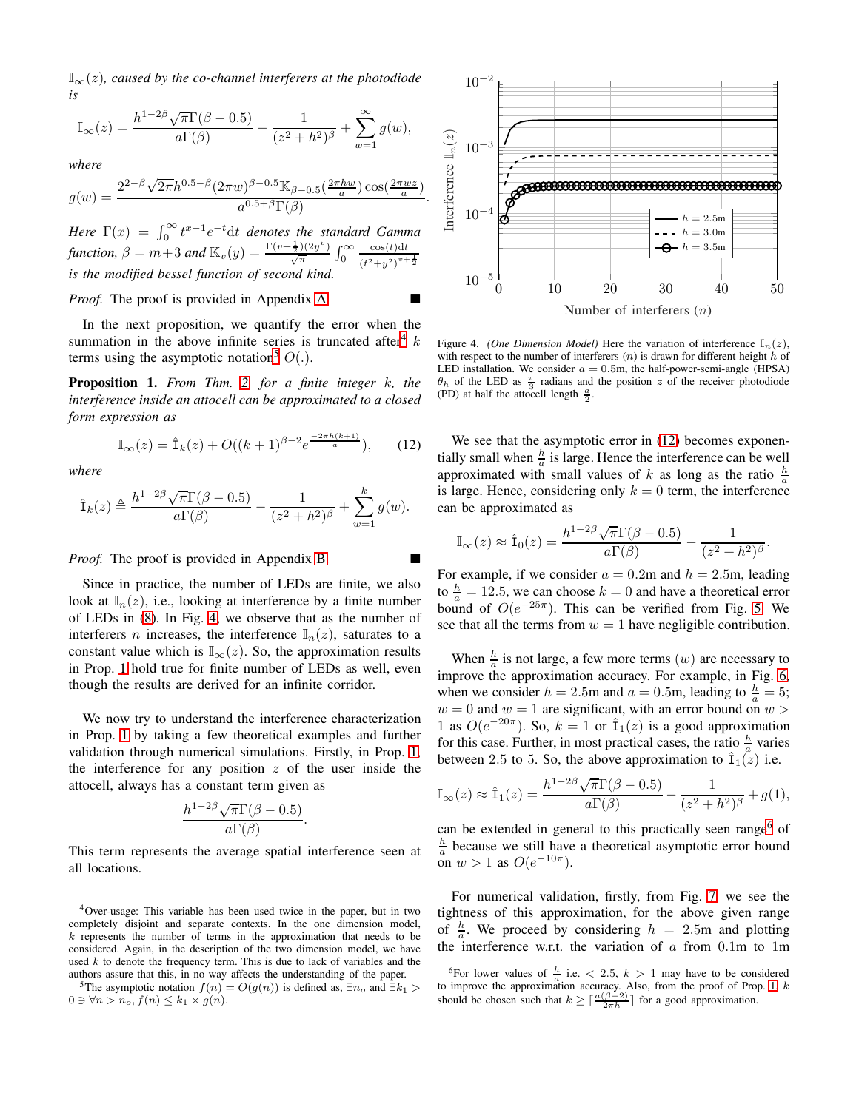$\mathbb{I}_{\infty}(z)$ , caused by the co-channel interferers at the photodiode *is*

$$
\mathbb{I}_{\infty}(z) = \frac{h^{1-2\beta}\sqrt{\pi}\Gamma(\beta-0.5)}{a\Gamma(\beta)} - \frac{1}{(z^2+h^2)^{\beta}} + \sum_{w=1}^{\infty} g(w),
$$

*where*

$$
g(w) = \frac{2^{2-\beta}\sqrt{2\pi}h^{0.5-\beta}(2\pi w)^{\beta-0.5}\mathbb{K}_{\beta-0.5}\left(\frac{2\pi hw}{a}\right)\cos(\frac{2\pi wz}{a})}{a^{0.5+\beta}\Gamma(\beta)}
$$

*Here*  $\Gamma(x) = \int_0^\infty t^{x-1} e^{-t} dt$  *denotes the standard Gamma function,*  $\beta = m+3$  *and*  $\mathbb{K}_v(y) = \frac{\Gamma(v+\frac{1}{2})(2y^v)}{\sqrt{\pi}} \int_0^\infty$  $\cos(t)\mathrm{d}t$  $(t^2+y^2)^{v+\frac{1}{2}}$ *is the modified bessel function of second kind.*

*Proof.* The proof is provided in Appendix [A.](#page-13-0)

In the next proposition, we quantify the error when the summation in the above infinite series is truncated after  $k$ terms using the asymptotic notation<sup>[5](#page-4-1)</sup>  $O(.)$ .

Proposition 1. *From Thm. [2,](#page-3-6) for a finite integer* k*, the interference inside an attocell can be approximated to a closed form expression as*

$$
\mathbb{I}_{\infty}(z) = \hat{\mathbf{I}}_k(z) + O((k+1)^{\beta - 2} e^{\frac{-2\pi h(k+1)}{a}}), \quad (12)
$$

*where*

$$
\hat{\mathbf{I}}_k(z) \triangleq \frac{h^{1-2\beta}\sqrt{\pi}\Gamma(\beta-0.5)}{a\Gamma(\beta)} - \frac{1}{(z^2+h^2)^{\beta}} + \sum_{w=1}^k g(w).
$$

*Proof.* The proof is provided in Appendix [B.](#page-14-0)

Since in practice, the number of LEDs are finite, we also look at  $\mathbb{I}_n(z)$ , i.e., looking at interference by a finite number of LEDs in [\(8\)](#page-3-4). In Fig. [4,](#page-4-2) we observe that as the number of interferers *n* increases, the interference  $\mathbb{I}_n(z)$ , saturates to a constant value which is  $\mathbb{I}_{\infty}(z)$ . So, the approximation results in Prop. [1](#page-4-3) hold true for finite number of LEDs as well, even though the results are derived for an infinite corridor.

We now try to understand the interference characterization in Prop. [1](#page-4-3) by taking a few theoretical examples and further validation through numerical simulations. Firstly, in Prop. [1,](#page-4-3) the interference for any position  $z$  of the user inside the attocell, always has a constant term given as

$$
\frac{h^{1-2\beta}\sqrt{\pi}\Gamma(\beta-0.5)}{a\Gamma(\beta)}.
$$

This term represents the average spatial interference seen at all locations.

<span id="page-4-0"></span><sup>4</sup>Over-usage: This variable has been used twice in the paper, but in two completely disjoint and separate contexts. In the one dimension model,  $k$  represents the number of terms in the approximation that needs to be considered. Again, in the description of the two dimension model, we have used  $k$  to denote the frequency term. This is due to lack of variables and the authors assure that this, in no way affects the understanding of the paper.

<span id="page-4-1"></span><sup>5</sup>The asymptotic notation  $f(n) = O(g(n))$  is defined as,  $\exists n_o$  and  $\exists k_1 >$  $0 \ni \forall n > n_o, f(n) \leq k_1 \times g(n).$ 



<span id="page-4-2"></span>Figure 4. *(One Dimension Model)* Here the variation of interference  $\mathbb{I}_n(z)$ , with respect to the number of interferers  $(n)$  is drawn for different height h of LED installation. We consider  $a = 0.5$ m, the half-power-semi-angle (HPSA)  $\theta_h$  of the LED as  $\frac{\pi}{3}$  radians and the position z of the receiver photodiode (PD) at half the attocell length  $\frac{a}{2}$ .

<span id="page-4-3"></span>We see that the asymptotic error in  $(12)$  becomes exponentially small when  $\frac{h}{a}$  is large. Hence the interference can be well approximated with small values of k as long as the ratio  $\frac{h}{a}$ is large. Hence, considering only  $k = 0$  term, the interference can be approximated as

$$
\mathbb{I}_{\infty}(z) \approx \hat{\mathbf{I}}_0(z) = \frac{h^{1-2\beta}\sqrt{\pi}\Gamma(\beta-0.5)}{a\Gamma(\beta)} - \frac{1}{(z^2+h^2)^{\beta}}.
$$

For example, if we consider  $a = 0.2$ m and  $h = 2.5$ m, leading to  $\frac{h}{a} = 12.5$ , we can choose  $k = 0$  and have a theoretical error bound of  $O(e^{-25\pi})$ . This can be verified from Fig. [5.](#page-5-0) We see that all the terms from  $w = 1$  have negligible contribution.

When  $\frac{h}{a}$  is not large, a few more terms  $(w)$  are necessary to improve the approximation accuracy. For example, in Fig. [6,](#page-5-1) when we consider  $h = 2.5$ m and  $a = 0.5$ m, leading to  $\frac{h}{a} = 5$ ;  $w = 0$  and  $w = 1$  are significant, with an error bound on  $w > 0$ 1 as  $O(e^{-20\pi})$ . So,  $k = 1$  or  $\hat{\mathbb{1}}_1(z)$  is a good approximation for this case. Further, in most practical cases, the ratio  $\frac{h}{a}$  varies between 2.5 to 5. So, the above approximation to  $\hat{I}_1(z)$  i.e.

$$
\mathbb{I}_{\infty}(z) \approx \hat{\mathbf{I}}_1(z) = \frac{h^{1-2\beta}\sqrt{\pi}\Gamma(\beta-0.5)}{a\Gamma(\beta)} - \frac{1}{(z^2+h^2)^{\beta}} + g(1),
$$

can be extended in general to this practically seen range<sup>[6](#page-4-4)</sup> of  $\frac{h}{a}$  because we still have a theoretical asymptotic error bound on  $w > 1$  as  $O(e^{-10\pi})$ .

For numerical validation, firstly, from Fig. [7,](#page-5-2) we see the tightness of this approximation, for the above given range of  $\frac{h}{a}$ . We proceed by considering  $h = 2.5$ m and plotting the interference w.r.t. the variation of  $a$  from  $0.1$ m to 1m

<span id="page-4-4"></span><sup>&</sup>lt;sup>6</sup>For lower values of  $\frac{h}{a}$  i.e.  $\lt$  2.5,  $k > 1$  may have to be considered to improve the approximation accuracy. Also, from the proof of Prop. [1,](#page-4-3) k should be chosen such that  $k \geq \lceil \frac{a(\beta-2)}{2\pi h} \rceil$  for a good approximation.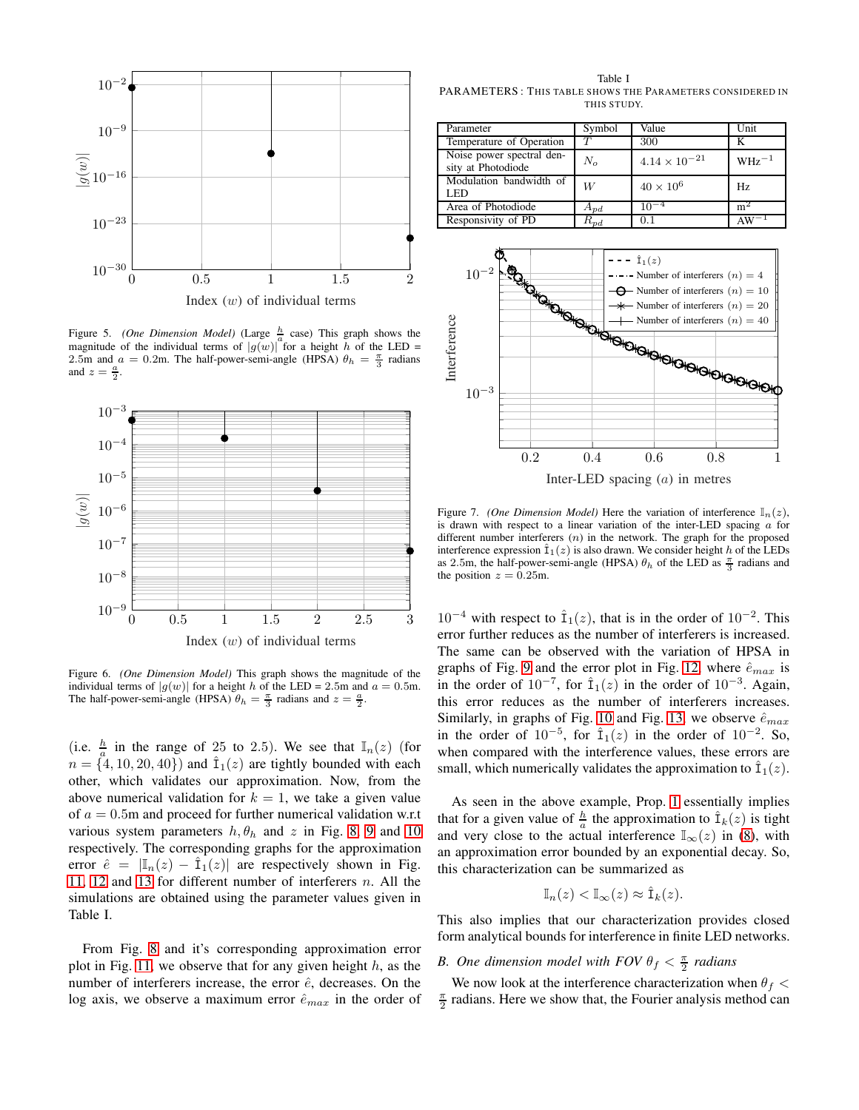

<span id="page-5-0"></span>Figure 5. *(One Dimension Model)* (Large  $\frac{h}{a}$  case) This graph shows the magnitude of the individual terms of  $|g(w)|$  for a height h of the LED = 2.5m and  $a = 0.2$ m. The half-power-semi-angle (HPSA)  $\theta_h = \frac{\pi}{3}$  radians and  $z = \frac{a}{2}$ .



<span id="page-5-1"></span>Figure 6. *(One Dimension Model)* This graph shows the magnitude of the individual terms of  $|g(w)|$  for a height h of the LED = 2.5m and  $a = 0.5$ m. The half-power-semi-angle (HPSA)  $\theta_h = \frac{\pi}{3}$  radians and  $z = \frac{a}{2}$ .

(i.e.  $\frac{h}{a}$  in the range of 25 to 2.5). We see that  $\mathbb{I}_n(z)$  (for  $n = \{4, 10, 20, 40\}$  and  $\hat{\mathbb{I}}_1(z)$  are tightly bounded with each other, which validates our approximation. Now, from the above numerical validation for  $k = 1$ , we take a given value of  $a = 0.5$ m and proceed for further numerical validation w.r.t various system parameters  $h, \theta_h$  and z in Fig. [8,](#page-6-0) [9](#page-6-1) and [10](#page-6-2) respectively. The corresponding graphs for the approximation error  $\hat{e} = |\mathbb{I}_n(z) - \hat{\mathbb{I}}_1(z)|$  are respectively shown in Fig. [11,](#page-6-3) [12](#page-7-0) and [13](#page-7-1) for different number of interferers n. All the simulations are obtained using the parameter values given in Table I.

From Fig. [8](#page-6-0) and it's corresponding approximation error plot in Fig. [11,](#page-6-3) we observe that for any given height  $h$ , as the number of interferers increase, the error  $\hat{e}$ , decreases. On the log axis, we observe a maximum error  $\hat{e}_{max}$  in the order of

Table I PARAMETERS : THIS TABLE SHOWS THE PARAMETERS CONSIDERED IN THIS STUDY.

| Parameter                                       | Symbol                  | Value                  | Unit           |
|-------------------------------------------------|-------------------------|------------------------|----------------|
| Temperature of Operation                        |                         | 300                    |                |
| Noise power spectral den-<br>sity at Photodiode | $N_{\alpha}$            | $4.14 \times 10^{-21}$ | $WHz^{-1}$     |
| Modulation bandwidth of<br>LED.                 | W                       | $40 \times 10^6$       | Hz.            |
| Area of Photodiode                              | $A_{pd}$                | $10^{-4}$              | m <sup>2</sup> |
| Responsivity of PD                              | $\cdot \mathbf{v}_{pd}$ | 0.1                    |                |



Inter-LED spacing (a) in metres

<span id="page-5-2"></span>Figure 7. *(One Dimension Model)* Here the variation of interference  $\mathbb{I}_n(z)$ , is drawn with respect to a linear variation of the inter-LED spacing  $a$  for different number interferers  $(n)$  in the network. The graph for the proposed interference expression  $\hat{I}_1(z)$  is also drawn. We consider height h of the LEDs as 2.5m, the half-power-semi-angle (HPSA)  $\theta_h$  of the LED as  $\frac{\pi}{3}$  radians and the position  $z = 0.25$ m.

 $10^{-4}$  with respect to  $\hat{I}_1(z)$ , that is in the order of  $10^{-2}$ . This error further reduces as the number of interferers is increased. The same can be observed with the variation of HPSA in graphs of Fig. [9](#page-6-1) and the error plot in Fig. [12,](#page-7-0) where  $\hat{e}_{max}$  is in the order of  $10^{-7}$ , for  $\hat{I}_1(z)$  in the order of  $10^{-3}$ . Again, this error reduces as the number of interferers increases. Similarly, in graphs of Fig. [10](#page-6-2) and Fig. [13,](#page-7-1) we observe  $\hat{e}_{max}$ in the order of  $10^{-5}$ , for  $\hat{I}_1(z)$  in the order of  $10^{-2}$ . So, when compared with the interference values, these errors are small, which numerically validates the approximation to  $\hat{\mathbb{I}}_1(z)$ .

As seen in the above example, Prop. [1](#page-4-3) essentially implies that for a given value of  $\frac{h}{a}$  the approximation to  $\hat{\mathbb{I}}_k(z)$  is tight and very close to the actual interference  $\mathbb{I}_{\infty}(z)$  in [\(8\)](#page-3-4), with an approximation error bounded by an exponential decay. So, this characterization can be summarized as

$$
\mathbb{I}_n(z) < \mathbb{I}_{\infty}(z) \approx \hat{\mathbf{I}}_k(z).
$$

This also implies that our characterization provides closed form analytical bounds for interference in finite LED networks.

# *B.* One dimension model with FOV  $\theta_f < \frac{\pi}{2}$  radians

We now look at the interference characterization when  $\theta_f$  <  $\frac{\pi}{2}$  radians. Here we show that, the Fourier analysis method can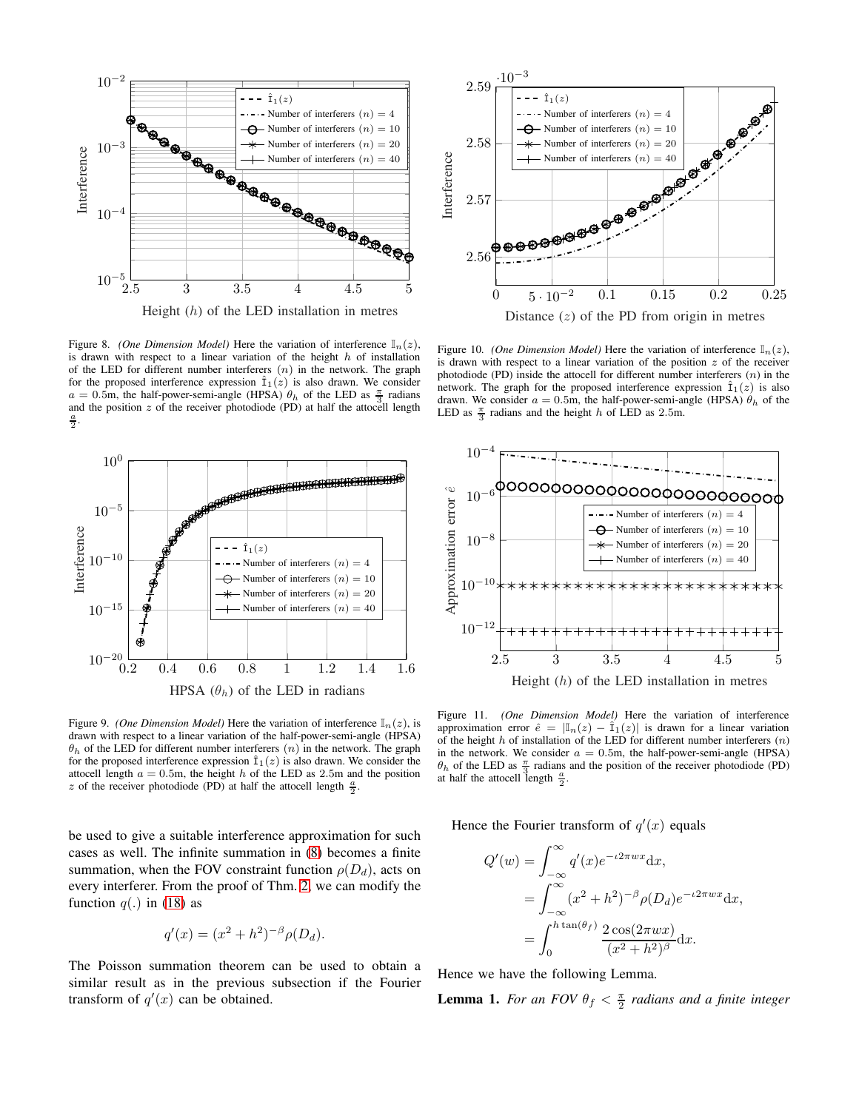

<span id="page-6-0"></span>Figure 8. *(One Dimension Model)* Here the variation of interference  $\mathbb{I}_n(z)$ , is drawn with respect to a linear variation of the height  $h$  of installation of the LED for different number interferers  $(n)$  in the network. The graph for the proposed interference expression  $\hat{I}_1(z)$  is also drawn. We consider  $a = 0.5$ m, the half-power-semi-angle (HPSA)  $\theta_h$  of the LED as  $\frac{\pi}{3}$  radians a  $\approx$  0.0m, the name power semi-angle (FH 571)  $v_h$  or the EED as  $\frac{3}{3}$  radians and the position z of the receiver photodiode (PD) at half the attocell length  $\frac{a}{2}$ .



<span id="page-6-1"></span>Figure 9. *(One Dimension Model)* Here the variation of interference  $\mathbb{I}_n(z)$ , is drawn with respect to a linear variation of the half-power-semi-angle (HPSA)  $\theta_h$  of the LED for different number interferers  $(n)$  in the network. The graph for the proposed interference expression  $\hat{I}_1(z)$  is also drawn. We consider the attocell length  $a = 0.5$ m, the height h of the LED as 2.5m and the position z of the receiver photodiode (PD) at half the attocell length  $\frac{a}{2}$ .

be used to give a suitable interference approximation for such cases as well. The infinite summation in [\(8\)](#page-3-4) becomes a finite summation, when the FOV constraint function  $\rho(D_d)$ , acts on every interferer. From the proof of Thm. [2,](#page-3-6) we can modify the function  $q(.)$  in [\(18\)](#page-13-1) as

$$
q'(x) = (x^2 + h^2)^{-\beta} \rho(D_d).
$$

The Poisson summation theorem can be used to obtain a similar result as in the previous subsection if the Fourier transform of  $q'(x)$  can be obtained.



<span id="page-6-2"></span>Distance  $(z)$  of the PD from origin in metres

Figure 10. *(One Dimension Model)* Here the variation of interference  $\mathbb{I}_n(z)$ , is drawn with respect to a linear variation of the position  $z$  of the receiver photodiode (PD) inside the attocell for different number interferers  $(n)$  in the network. The graph for the proposed interference expression  $\hat{I}_1(z)$  is also drawn. We consider  $a = 0.5$ m, the half-power-semi-angle (HPSA)  $\theta_h$  of the LED as  $\frac{\pi}{3}$  radians and the height h of LED as 2.5m.



<span id="page-6-3"></span>Figure 11. *(One Dimension Model)* Here the variation of interference approximation error  $\hat{e} = |\mathbb{I}_n(z) - \hat{I}_1(z)|$  is drawn for a linear variation of the height  $h$  of installation of the LED for different number interferers  $(n)$ in the network. We consider  $a = 0.5$ m, the half-power-semi-angle (HPSA)  $\theta_h$  of the LED as  $\frac{\pi}{3}$  radians and the position of the receiver photodiode (PD) at half the attocell length  $\frac{a}{2}$ .

Hence the Fourier transform of  $q'(x)$  equals

$$
Q'(w) = \int_{-\infty}^{\infty} q'(x)e^{-i2\pi wx} dx,
$$
  
= 
$$
\int_{-\infty}^{\infty} (x^2 + h^2)^{-\beta} \rho(D_d)e^{-i2\pi wx} dx,
$$
  
= 
$$
\int_{0}^{h \tan(\theta_f)} \frac{2 \cos(2\pi wx)}{(x^2 + h^2)^{\beta}} dx.
$$

Hence we have the following Lemma.

**Lemma 1.** For an FOV  $\theta_f < \frac{\pi}{2}$  radians and a finite integer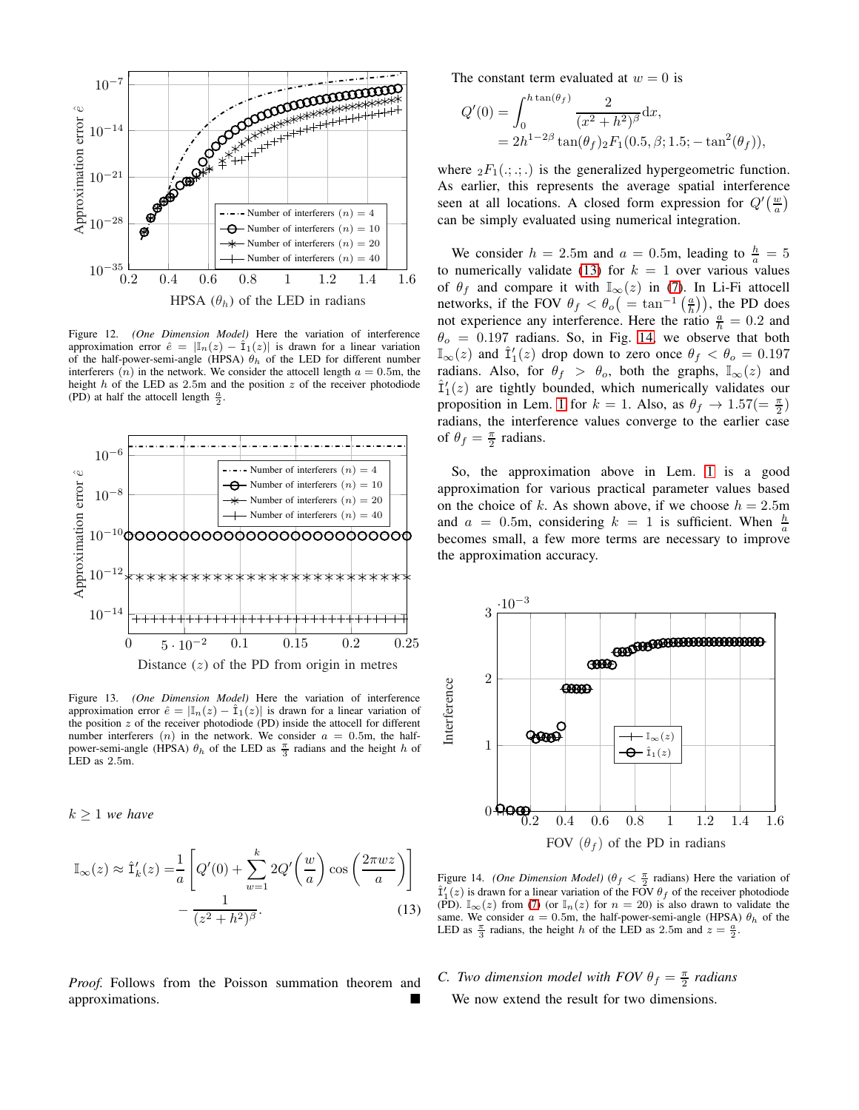

<span id="page-7-0"></span>Figure 12. *(One Dimension Model)* Here the variation of interference approximation error  $\hat{e} = |\mathbb{I}_n(z) - \hat{I}_1(z)|$  is drawn for a linear variation of the half-power-semi-angle (HPSA)  $\theta_h$  of the LED for different number interferers  $(n)$  in the network. We consider the attocell length  $a = 0.5$ m, the height  $h$  of the LED as 2.5m and the position  $z$  of the receiver photodiode (PD) at half the attocell length  $\frac{a}{2}$ .



<span id="page-7-1"></span>Figure 13. *(One Dimension Model)* Here the variation of interference approximation error  $\hat{e} = |\mathbb{I}_n(z) - \hat{I}_1(z)|$  is drawn for a linear variation of the position  $z$  of the receiver photodiode (PD) inside the attocell for different number interferers  $(n)$  in the network. We consider  $a = 0.5$ m, the halfpower-semi-angle (HPSA)  $\theta_h$  of the LED as  $\frac{\pi}{3}$  radians and the height h of LED as 2.5m.

 $k \geq 1$  *we have* 

$$
\mathbb{I}_{\infty}(z) \approx \hat{\mathbf{I}}'_{k}(z) = \frac{1}{a} \left[ Q'(0) + \sum_{w=1}^{k} 2Q'\left(\frac{w}{a}\right) \cos\left(\frac{2\pi wz}{a}\right) \right] - \frac{1}{(z^2 + h^2)^{\beta}}.
$$
\n(13)

*Proof.* Follows from the Poisson summation theorem and approximations.

The constant term evaluated at  $w = 0$  is

$$
Q'(0) = \int_0^h \frac{\tan(\theta_f)}{(x^2 + h^2)^{\beta}} dx,
$$
  
=  $2h^{1-2\beta} \tan(\theta_f) \, {}_2F_1(0.5, \beta; 1.5; -\tan^2(\theta_f)),$ 

where  ${}_2F_1(.;.;.)$  is the generalized hypergeometric function. As earlier, this represents the average spatial interference seen at all locations. A closed form expression for  $Q'(\frac{w}{a})$ can be simply evaluated using numerical integration.

We consider  $h = 2.5$ m and  $a = 0.5$ m, leading to  $\frac{h}{a} = 5$ to numerically validate [\(13\)](#page-7-2) for  $k = 1$  over various values of  $\theta_f$  and compare it with  $\mathbb{I}_{\infty}(z)$  in [\(7\)](#page-3-1). In Li-Fi attocell networks, if the FOV  $\theta_f < \theta_o ( = \tan^{-1}(\frac{a}{h}) )$ , the PD does not experience any interference. Here the ratio  $\frac{a}{h} = 0.2$  and  $\theta_o = 0.197$  radians. So, in Fig. [14,](#page-7-3) we observe that both  $\mathbb{I}_{\infty}(z)$  and  $\hat{\mathbb{I}}'_{1}(z)$  drop down to zero once  $\theta_{f} < \theta_{o} = 0.197$ radians. Also, for  $\theta_f > \theta_o$ , both the graphs,  $\mathbb{I}_{\infty}(z)$  and  $\hat{\mathbf{I}}'_{1}(z)$  are tightly bounded, which numerically validates our proposition in Lem. [1](#page-7-2) for  $k = 1$ . Also, as  $\theta_f \rightarrow 1.57 (= \frac{\pi}{2})$ radians, the interference values converge to the earlier case of  $\theta_f = \frac{\pi}{2}$  radians.

So, the approximation above in Lem. [1](#page-7-2) is a good approximation for various practical parameter values based on the choice of k. As shown above, if we choose  $h = 2.5$ m and  $a = 0.5$ m, considering  $k = 1$  is sufficient. When  $\frac{h}{a}$ becomes small, a few more terms are necessary to improve the approximation accuracy.



<span id="page-7-3"></span><span id="page-7-2"></span>Figure 14. *(One Dimension Model)*  $(\theta_f < \frac{\pi}{2} \text{ radians})$  Here the variation of  $\hat{I}'_1(z)$  is drawn for a linear variation of the FOV  $\theta_f$  of the receiver photodiode (PD).  $\mathbb{I}_{\infty}(z)$  from [\(7\)](#page-3-1) (or  $\mathbb{I}_{n}(z)$  for  $n = 20$ ) is also drawn to validate the same. We consider  $a = 0.5$ m, the half-power-semi-angle (HPSA)  $\theta_h$  of the LED as  $\frac{\pi}{3}$  radians, the height h of the LED as 2.5m and  $z = \frac{a}{2}$ .

*C. Two dimension model with FOV*  $\theta_f = \frac{\pi}{2}$  radians We now extend the result for two dimensions.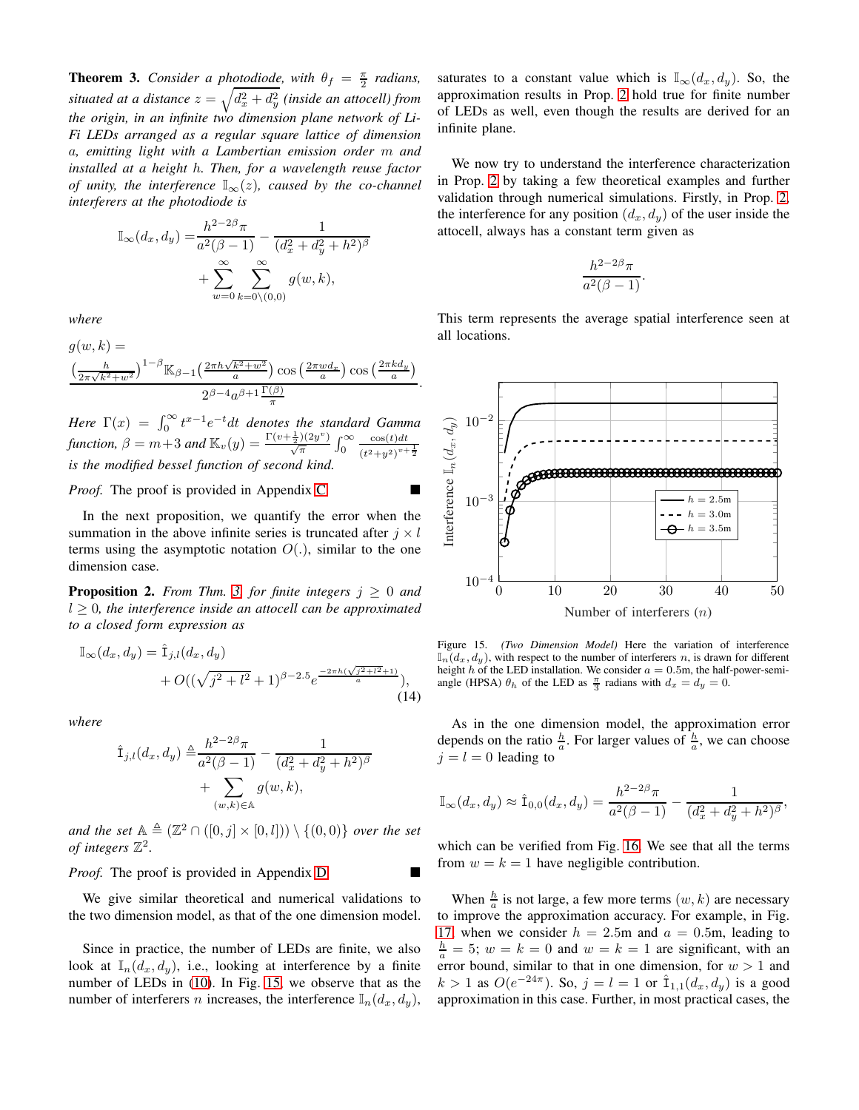<span id="page-8-0"></span>**Theorem 3.** *Consider a photodiode, with*  $\theta_f = \frac{\pi}{2}$  *radians,* situated at a distance  $z=\sqrt{d_x^2+d_y^2}$  (inside an attocell) from *the origin, in an infinite two dimension plane network of Li-Fi LEDs arranged as a regular square lattice of dimension* a*, emitting light with a Lambertian emission order* m *and installed at a height* h*. Then, for a wavelength reuse factor of unity, the interference*  $\mathbb{I}_{\infty}(z)$ *, caused by the co-channel interferers at the photodiode is*

$$
\mathbb{I}_{\infty}(d_x, d_y) = \frac{h^{2-2\beta}\pi}{a^2(\beta - 1)} - \frac{1}{(d_x^2 + d_y^2 + h^2)^{\beta}}
$$

$$
+ \sum_{w=0}^{\infty} \sum_{k=0 \setminus (0,0)}^{\infty} g(w, k),
$$

*where*

$$
g(w,k) =
$$
  

$$
\frac{\left(\frac{h}{2\pi\sqrt{k^2+w^2}}\right)^{1-\beta}\mathbb{K}_{\beta-1}\left(\frac{2\pi h\sqrt{k^2+w^2}}{a}\right)\cos\left(\frac{2\pi w d_x}{a}\right)\cos\left(\frac{2\pi k d_y}{a}\right)}{2^{\beta-4}a^{\beta+1}\frac{\Gamma(\beta)}{\pi}}
$$

.

*Here*  $\Gamma(x) = \int_0^\infty t^{x-1} e^{-t} dt$  *denotes the standard Gamma function,*  $\beta = m+3$  *and*  $\mathbb{K}_v(y) = \frac{\Gamma(v+\frac{1}{2})(2y^v)}{\sqrt{\pi}} \int_0^\infty$  $\cos(t)dt$ function,  $p = m + 3$  and  $\ln v(y) = \frac{\sqrt{\pi}}{\sqrt{\pi}} J_0$   $\frac{1}{(t^2+y^2)^{v+\frac{1}{2}}}$ <br>is the modified bessel function of second kind.

*Proof.* The proof is provided in Appendix [C.](#page-14-1)

In the next proposition, we quantify the error when the summation in the above infinite series is truncated after  $j \times l$ terms using the asymptotic notation  $O(.)$ , similar to the one dimension case.

**Proposition 2.** *From Thm.* [3,](#page-8-0) *for finite integers*  $j \geq 0$  *and*  $l \geq 0$ , the interference inside an attocell can be approximated *to a closed form expression as*

$$
\mathbb{I}_{\infty}(d_x, d_y) = \hat{\mathbf{I}}_{j,l}(d_x, d_y) + O((\sqrt{j^2 + l^2} + 1)^{\beta - 2.5} e^{\frac{-2\pi h(\sqrt{j^2 + l^2} + 1)}{a}}),
$$
\n(14)

*where*

$$
\hat{\mathbf{I}}_{j,l}(d_x, d_y) \triangleq \frac{h^{2-2\beta}\pi}{a^2(\beta - 1)} - \frac{1}{(d_x^2 + d_y^2 + h^2)^{\beta}} + \sum_{(w,k) \in \mathbb{A}} g(w, k),
$$

*and the set*  $\mathbb{A} \triangleq (\mathbb{Z}^2 \cap ([0,j] \times [0,l])) \setminus \{(0,0)\}$  *over the set of integers*  $\mathbb{Z}^2$ .

*Proof.* The proof is provided in Appendix [D.](#page-15-0)

We give similar theoretical and numerical validations to the two dimension model, as that of the one dimension model.

Since in practice, the number of LEDs are finite, we also look at  $\mathbb{I}_n(d_x, d_y)$ , i.e., looking at interference by a finite number of LEDs in [\(10\)](#page-3-5). In Fig. [15,](#page-8-1) we observe that as the number of interferers *n* increases, the interference  $\mathbb{I}_n(d_x, d_y)$ , saturates to a constant value which is  $\mathbb{I}_{\infty}(d_x, d_y)$ . So, the approximation results in Prop. [2](#page-8-2) hold true for finite number of LEDs as well, even though the results are derived for an infinite plane.

We now try to understand the interference characterization in Prop. [2](#page-8-2) by taking a few theoretical examples and further validation through numerical simulations. Firstly, in Prop. [2,](#page-8-2) the interference for any position  $(d_x, d_y)$  of the user inside the attocell, always has a constant term given as

$$
\frac{h^{2-2\beta}\pi}{a^2(\beta-1)}.
$$

This term represents the average spatial interference seen at all locations.



<span id="page-8-1"></span>Figure 15. *(Two Dimension Model)* Here the variation of interference  $\mathbb{I}_n(d_x, d_y)$ , with respect to the number of interferers n, is drawn for different height h of the LED installation. We consider  $a = 0.5$ m, the half-power-semiangle (HPSA)  $\theta_h$  of the LED as  $\frac{\pi}{3}$  radians with  $d_x = d_y = 0$ .

<span id="page-8-2"></span>As in the one dimension model, the approximation error depends on the ratio  $\frac{h}{a}$ . For larger values of  $\frac{h}{a}$ , we can choose  $i = l = 0$  leading to

$$
\mathbb{I}_{\infty}(d_x, d_y) \approx \hat{\mathbb{1}}_{0,0}(d_x, d_y) = \frac{h^{2-2\beta}\pi}{a^2(\beta-1)} - \frac{1}{(d_x^2 + d_y^2 + h^2)^{\beta}},
$$

which can be verified from Fig. [16.](#page-9-0) We see that all the terms from  $w = k = 1$  have negligible contribution.

When  $\frac{h}{a}$  is not large, a few more terms  $(w, k)$  are necessary to improve the approximation accuracy. For example, in Fig. [17,](#page-9-1) when we consider  $h = 2.5$ m and  $a = 0.5$ m, leading to  $\frac{h}{a} = 5$ ;  $w = k = 0$  and  $w = k = 1$  are significant, with an error bound, similar to that in one dimension, for  $w > 1$  and  $k > 1$  as  $O(e^{-24\pi})$ . So,  $j = l = 1$  or  $\hat{\mathbb{1}}_{1,1}(d_x, d_y)$  is a good approximation in this case. Further, in most practical cases, the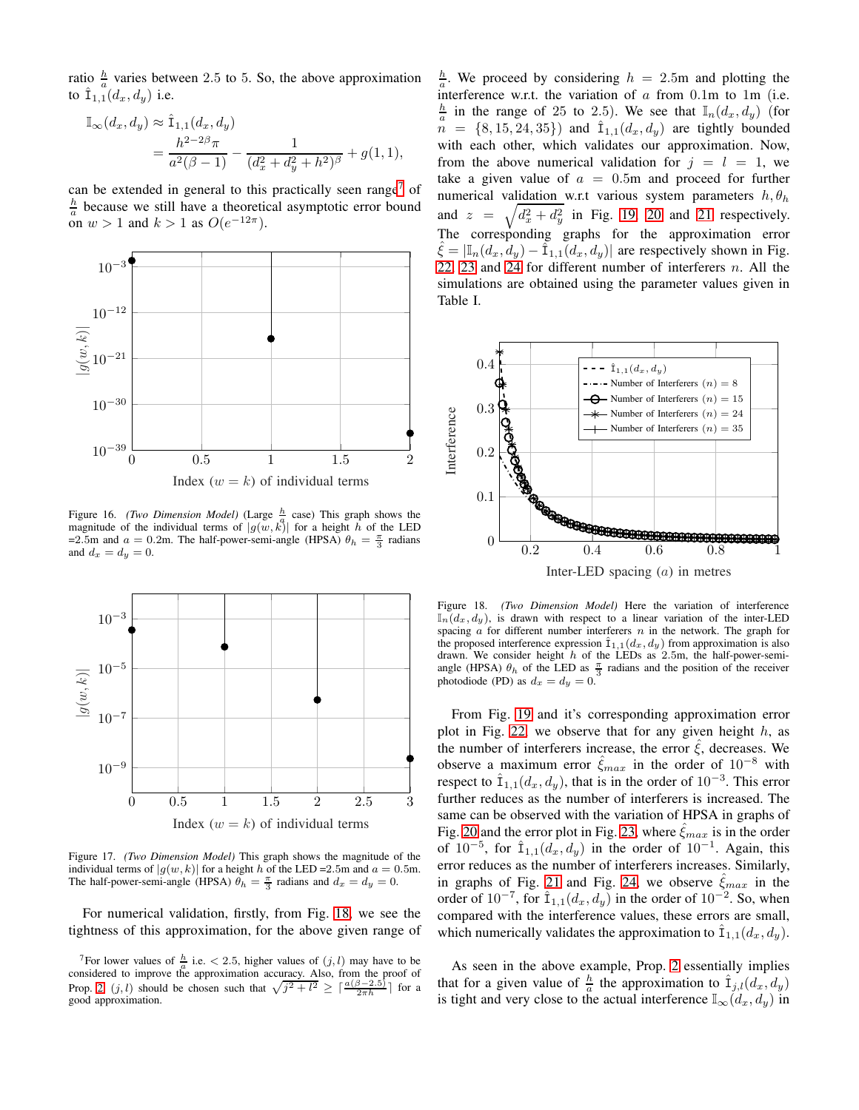ratio  $\frac{h}{a}$  varies between 2.5 to 5. So, the above approximation to  $\hat{\mathbf{I}}_{1,1}(d_x, d_y)$  i.e.

$$
\mathbb{I}_{\infty}(d_x, d_y) \approx \hat{\mathbb{1}}_{1,1}(d_x, d_y)
$$
  
= 
$$
\frac{h^{2-2\beta}\pi}{a^2(\beta-1)} - \frac{1}{(d_x^2 + d_y^2 + h^2)^{\beta}} + g(1, 1),
$$

can be extended in general to this practically seen range<sup>[7](#page-9-2)</sup> of  $\frac{h}{a}$  because we still have a theoretical asymptotic error bound on  $w > 1$  and  $k > 1$  as  $O(e^{-12\pi})$ .



<span id="page-9-0"></span>Figure 16. *(Two Dimension Model)* (Large  $\frac{h}{a}$  case) This graph shows the right for  $\left\{ n \in \mathbb{Z}^n : |f_n(x)| \leq \frac{1}{\log n} \right\}$  (Early 1 ins graph shows the magnitude of the individual terms of  $|g(w, k)|$  for a height h of the LED =2.5m and  $a = 0.2$ m. The half-power-semi-angle (HPSA)  $\theta_h = \frac{\pi}{3}$  radians and  $d_x = d_y = 0$ .



<span id="page-9-1"></span>Figure 17. *(Two Dimension Model)* This graph shows the magnitude of the individual terms of  $|g(w, k)|$  for a height h of the LED =2.5m and  $a = 0.5$ m.<br>The half-power-semi-angle (HPSA)  $\theta_h = \frac{\pi}{3}$  radians and  $d_x = d_y = 0$ .

For numerical validation, firstly, from Fig. [18,](#page-9-3) we see the tightness of this approximation, for the above given range of

 $\frac{h}{a}$ . We proceed by considering  $h = 2.5$ m and plotting the interference w.r.t. the variation of  $a$  from 0.1m to 1m (i.e.  $\frac{h}{a}$  in the range of 25 to 2.5). We see that  $\mathbb{I}_n(d_x, d_y)$  (for  $n = \{8, 15, 24, 35\}$  and  $\hat{\mathbb{I}}_{1,1}(d_x, d_y)$  are tightly bounded with each other, which validates our approximation. Now, from the above numerical validation for  $j = l = 1$ , we take a given value of  $a = 0.5$ m and proceed for further numerical validation w.r.t various system parameters  $h, \theta_h$ and  $z =$  $\sqrt{d_x^2 + d_y^2}$  in Fig. [19,](#page-10-0) [20](#page-10-1) and [21](#page-10-2) respectively. The corresponding graphs for the approximation error  $\xi = |\mathbb{I}_n(d_x, d_y) - \hat{\mathbb{I}}_{1,1}(d_x, d_y)|$  are respectively shown in Fig. [22,](#page-10-3) [23](#page-11-0) and [24](#page-11-1) for different number of interferers  $n$ . All the simulations are obtained using the parameter values given in Table I.



<span id="page-9-3"></span>Figure 18. *(Two Dimension Model)* Here the variation of interference  $\mathbb{I}_n(d_x, d_y)$ , is drawn with respect to a linear variation of the inter-LED spacing  $a$  for different number interferers  $n$  in the network. The graph for the proposed interference expression  $\hat{\mathbf{I}}_{1,1}(d_x, d_y)$  from approximation is also drawn. We consider height  $h$  of the LEDs as 2.5m, the half-power-semiangle (HPSA)  $\theta_h$  of the LED as  $\frac{\pi}{3}$  radians and the position of the receiver photodiode (PD) as  $d_x = d_y = 0$ .

From Fig. [19](#page-10-0) and it's corresponding approximation error plot in Fig. [22,](#page-10-3) we observe that for any given height  $h$ , as the number of interferers increase, the error  $\hat{\xi}$ , decreases. We observe a maximum error  $\hat{\xi}_{max}$  in the order of  $10^{-8}$  with respect to  $\hat{\mathbb{I}}_{1,1}(d_x, d_y)$ , that is in the order of  $10^{-3}$ . This error further reduces as the number of interferers is increased. The same can be observed with the variation of HPSA in graphs of Fig. [20](#page-10-1) and the error plot in Fig. [23,](#page-11-0) where  $\hat{\xi}_{max}$  is in the order of  $10^{-5}$ , for  $\hat{\mathbb{1}}_{1,1}(d_x, d_y)$  in the order of  $10^{-1}$ . Again, this error reduces as the number of interferers increases. Similarly, in graphs of Fig. [21](#page-10-2) and Fig. [24,](#page-11-1) we observe  $\hat{\xi}_{max}$  in the order of  $10^{-7}$ , for  $\hat{\mathbb{1}}_{1,1}(d_x, d_y)$  in the order of  $10^{-2}$ . So, when compared with the interference values, these errors are small, which numerically validates the approximation to  $\hat{\mathbf{I}}_{1,1}(d_x, d_y)$ .

As seen in the above example, Prop. [2](#page-8-2) essentially implies that for a given value of  $\frac{h}{a}$  the approximation to  $\hat{\mathbf{I}}_{j,l}(d_x, d_y)$ is tight and very close to the actual interference  $\mathbb{I}_{\infty}(d_x, d_y)$  in

<span id="page-9-2"></span><sup>&</sup>lt;sup>7</sup>For lower values of  $\frac{h}{a}$  i.e. < 2.5, higher values of  $(j, l)$  may have to be considered to improve the approximation accuracy. Also, from the proof of Prop. [2,](#page-8-2)  $(j, l)$  should be chosen such that  $\sqrt{j^2 + l^2} \geq \lceil \frac{a(\beta - 2.5)}{2\pi h} \rceil$  for a good approximation.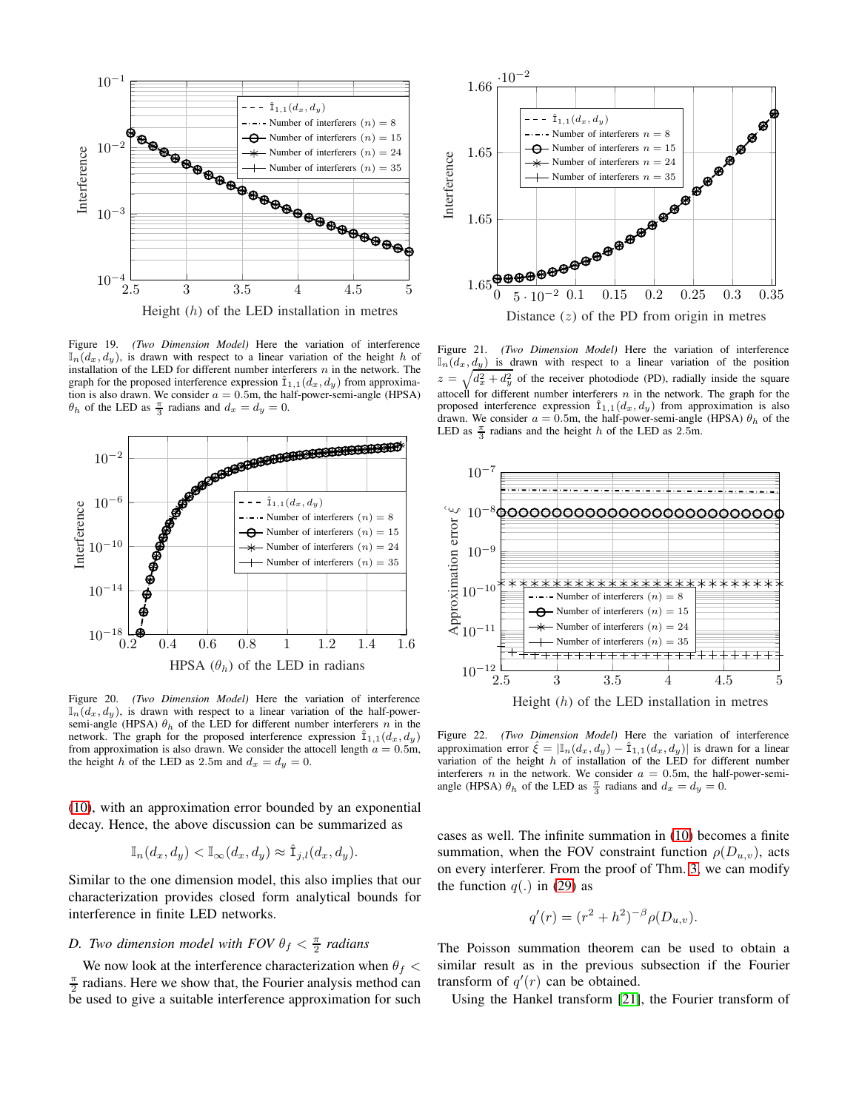

<span id="page-10-0"></span>Figure 19. *(Two Dimension Model)* Here the variation of interference  $\mathbb{I}_n(d_x, d_y)$ , is drawn with respect to a linear variation of the height h of installation of the LED for different number interferers  $n$  in the network. The graph for the proposed interference expression  $\hat{I}_{1,1}(d_x, d_y)$  from approximation is also drawn. We consider  $a = 0.5$ m, the half-power-semi-angle (HPSA)  $\theta_h$  of the LED as  $\frac{\pi}{3}$  radians and  $d_x = d_y = 0$ .



<span id="page-10-1"></span>Figure 20. *(Two Dimension Model)* Here the variation of interference  $\mathbb{I}_n(d_x, d_y)$ , is drawn with respect to a linear variation of the half-powersemi-angle (HPSA)  $\theta_h$  of the LED for different number interferers n in the network. The graph for the proposed interference expression  $\hat{I}_{1,1}(d_x, d_y)$ from approximation is also drawn. We consider the attocell length  $a = 0.5$ m, the height h of the LED as 2.5m and  $d_x = d_y = 0$ .

[\(10\)](#page-3-5), with an approximation error bounded by an exponential decay. Hence, the above discussion can be summarized as

$$
\mathbb{I}_n(d_x, d_y) < \mathbb{I}_{\infty}(d_x, d_y) \approx \hat{\mathbf{I}}_{j,l}(d_x, d_y).
$$

Similar to the one dimension model, this also implies that our characterization provides closed form analytical bounds for interference in finite LED networks.

# *D.* Two dimension model with FOV  $\theta_f < \frac{\pi}{2}$  radians

We now look at the interference characterization when  $\theta_f$  <  $\frac{\pi}{2}$  radians. Here we show that, the Fourier analysis method can be used to give a suitable interference approximation for such



<span id="page-10-2"></span>Figure 21. *(Two Dimension Model)* Here the variation of interference  $\mathbb{I}_n(d_x, d_y)$  is drawn with respect to a linear variation of the position  $z = \sqrt{d_x^2 + d_y^2}$  of the receiver photodiode (PD), radially inside the square attocell for different number interferers  $n$  in the network. The graph for the proposed interference expression  $\hat{\mathbb{I}}_{1,1}(d_x, d_y)$  from approximation is also drawn. We consider  $a = 0.5$ m, the half-power-semi-angle (HPSA)  $\theta_h$  of the LED as  $\frac{\pi}{3}$  radians and the height h of the LED as 2.5m.



<span id="page-10-3"></span>Figure 22. *(Two Dimension Model)* Here the variation of interference approximation error  $\xi = |\mathbb{I}_n(d_x, d_y) - \hat{\mathbb{I}}_{1,1}(d_x, d_y)|$  is drawn for a linear variation of the height  $h$  of installation of the LED for different number interferers n in the network. We consider  $a = 0.5$ m, the half-power-semiangle (HPSA)  $\theta_h$  of the LED as  $\frac{\pi}{3}$  radians and  $d_x = d_y = 0$ .

cases as well. The infinite summation in [\(10\)](#page-3-5) becomes a finite summation, when the FOV constraint function  $\rho(D_{u,v})$ , acts on every interferer. From the proof of Thm. [3,](#page-8-0) we can modify the function  $q(.)$  in [\(29\)](#page-14-2) as

$$
q'(r) = (r^2 + h^2)^{-\beta} \rho(D_{u,v}).
$$

The Poisson summation theorem can be used to obtain a similar result as in the previous subsection if the Fourier transform of  $q'(r)$  can be obtained.

Using the Hankel transform [\[21\]](#page-12-20), the Fourier transform of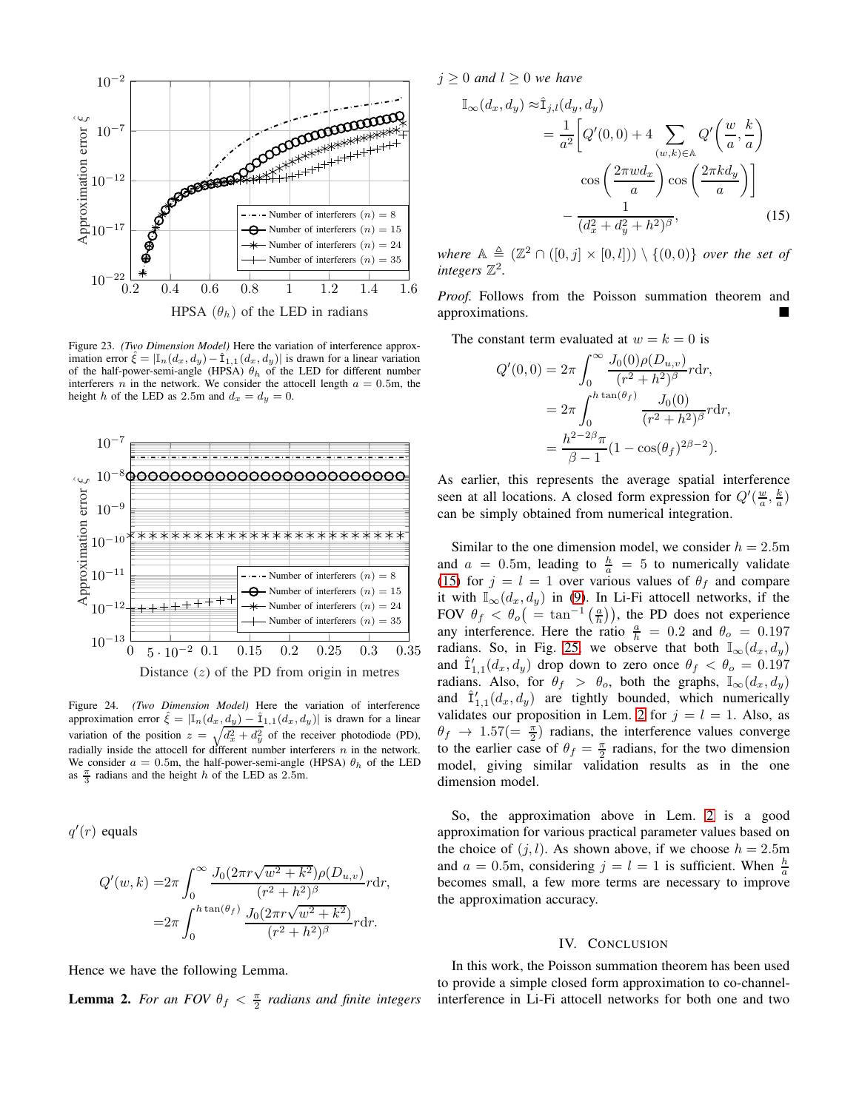

<span id="page-11-0"></span>Figure 23. *(Two Dimension Model)* Here the variation of interference approximation error  $\hat{\xi} = |\mathbb{I}_n(d_x, d_y) - \hat{\mathbb{I}}_{1,1}(d_x, d_y)|$  is drawn for a linear variation of the half-power-semi-angle (HPSA)  $\theta_h$  of the LED for different number interferers n in the network. We consider the attocell length  $a = 0.5$ m, the height h of the LED as 2.5m and  $d_x = d_y = 0$ .



<span id="page-11-1"></span>Figure 24. *(Two Dimension Model)* Here the variation of interference approximation error  $\hat{\xi} = |\mathbb{I}_n(d_x, d_y) - \hat{I}_{1,1}(d_x, d_y)|$  is drawn for a linear variation of the position  $z = \sqrt{d_x^2 + d_y^2}$  of the receiver photodiode (PD), radially inside the attocell for different number interferers  $n$  in the network. We consider  $a = 0.5$ m, the half-power-semi-angle (HPSA)  $\theta_h$  of the LED as  $\frac{\pi}{3}$  radians and the height h of the LED as 2.5m.

 $q'(r)$  equals

$$
Q'(w,k) = 2\pi \int_0^\infty \frac{J_0(2\pi r\sqrt{w^2 + k^2})\rho(D_{u,v})}{(r^2 + h^2)^\beta} r dr,
$$
  
= 
$$
2\pi \int_0^{h \tan(\theta_f)} \frac{J_0(2\pi r\sqrt{w^2 + k^2})}{(r^2 + h^2)^\beta} r dr.
$$

Hence we have the following Lemma.

**Lemma 2.** For an FOV  $\theta_f < \frac{\pi}{2}$  radians and finite integers

 $j \geq 0$  *and*  $l \geq 0$  *we have* 

$$
\mathbb{I}_{\infty}(d_x, d_y) \approx \hat{\mathbb{I}}_{j,l}(d_y, d_y)
$$
\n
$$
= \frac{1}{a^2} \left[ Q'(0, 0) + 4 \sum_{(w,k) \in \mathbb{A}} Q'\left(\frac{w}{a}, \frac{k}{a}\right) \right]
$$
\n
$$
\cos\left(\frac{2\pi w d_x}{a}\right) \cos\left(\frac{2\pi k d_y}{a}\right) \right]
$$
\n
$$
- \frac{1}{(d_x^2 + d_y^2 + h^2)^{\beta}}, \tag{15}
$$

*where*  $\mathbb{A} \triangleq (\mathbb{Z}^2 \cap ([0,j] \times [0,l])) \setminus \{(0,0)\}$  *over the set of* integers  $\mathbb{Z}^2$ .

*Proof.* Follows from the Poisson summation theorem and approximations.

The constant term evaluated at  $w = k = 0$  is

<span id="page-11-2"></span>
$$
Q'(0,0) = 2\pi \int_0^\infty \frac{J_0(0)\rho(D_{u,v})}{(r^2 + h^2)^\beta} r dr,
$$
  
=  $2\pi \int_0^{h \tan(\theta_f)} \frac{J_0(0)}{(r^2 + h^2)^\beta} r dr,$   
=  $\frac{h^{2-2\beta}\pi}{\beta - 1} (1 - \cos(\theta_f)^{2\beta - 2}).$ 

As earlier, this represents the average spatial interference seen at all locations. A closed form expression for  $Q'(\frac{w}{a}, \frac{k}{a})$ can be simply obtained from numerical integration.

Similar to the one dimension model, we consider  $h = 2.5$ m and  $a = 0.5$ m, leading to  $\frac{h}{a} = 5$  to numerically validate [\(15\)](#page-11-2) for  $j = l = 1$  over various values of  $\theta_f$  and compare it with  $\mathbb{I}_{\infty}(d_x, d_y)$  in [\(9\)](#page-3-3). In Li-Fi attocell networks, if the FOV  $\theta_f < \theta_o ( = \tan^{-1}(\frac{a}{h}))$ , the PD does not experience any interference. Here the ratio  $\frac{a}{h} = 0.2$  and  $\theta_o = 0.197$ radians. So, in Fig. [25,](#page-12-21) we observe that both  $\mathbb{I}_{\infty}(d_x, d_y)$ and  $\hat{\mathbf{I}}'_{1,1}(d_x, d_y)$  drop down to zero once  $\theta_f < \theta_o = 0.197$ radians. Also, for  $\theta_f > \theta_o$ , both the graphs,  $\mathbb{I}_{\infty}(d_x, d_y)$ and  $\hat{\mathbf{I}}'_{1,1}(d_x, d_y)$  are tightly bounded, which numerically validates our proposition in Lem. [2](#page-11-2) for  $j = l = 1$ . Also, as  $\theta_f \rightarrow 1.57 (= \frac{\pi}{2})$  radians, the interference values converge to the earlier case of  $\theta_f = \frac{\pi}{2}$  radians, for the two dimension model, giving similar validation results as in the one dimension model.

So, the approximation above in Lem. [2](#page-11-2) is a good approximation for various practical parameter values based on the choice of  $(j, l)$ . As shown above, if we choose  $h = 2.5$ m and  $a = 0.5$ m, considering  $j = l = 1$  is sufficient. When  $\frac{h}{a}$ becomes small, a few more terms are necessary to improve the approximation accuracy.

# IV. CONCLUSION

In this work, the Poisson summation theorem has been used to provide a simple closed form approximation to co-channelinterference in Li-Fi attocell networks for both one and two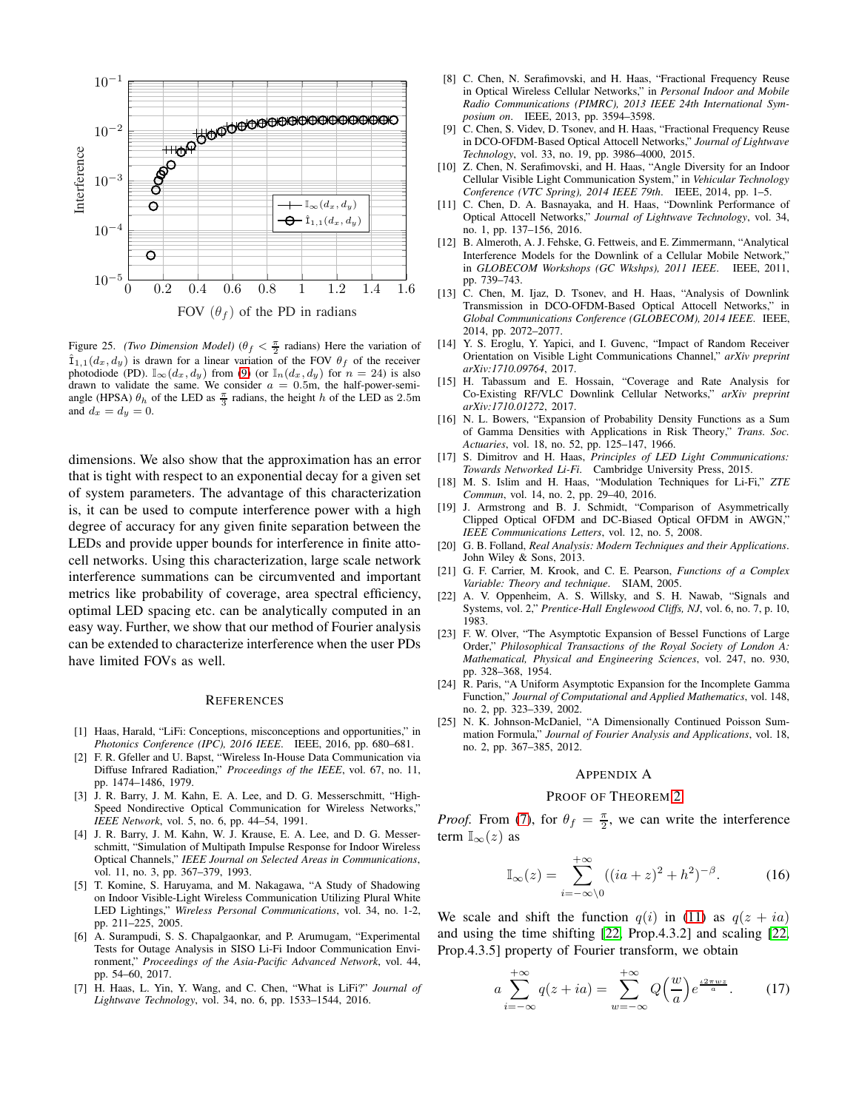

<span id="page-12-21"></span>Figure 25. *(Two Dimension Model)*  $(\theta_f < \frac{\pi}{2} \text{ radians})$  Here the variation of  $\hat{\mathbb{I}}_{1,1}(d_x, d_y)$  is drawn for a linear variation of the FOV  $\theta_f$  of the receiver photodiode (PD).  $\mathbb{I}_{\infty}(d_x, d_y)$  from [\(9\)](#page-3-3) (or  $\mathbb{I}_{n}(d_x, d_y)$  for  $n = 24$ ) is also drawn to validate the same. We consider  $a = 0.5$ m, the half-power-semiangle (HPSA)  $\theta_h$  of the LED as  $\frac{\pi}{3}$  radians, the height h of the LED as 2.5m and  $d_x = d_y = 0$ .

dimensions. We also show that the approximation has an error that is tight with respect to an exponential decay for a given set of system parameters. The advantage of this characterization is, it can be used to compute interference power with a high degree of accuracy for any given finite separation between the LEDs and provide upper bounds for interference in finite attocell networks. Using this characterization, large scale network interference summations can be circumvented and important metrics like probability of coverage, area spectral efficiency, optimal LED spacing etc. can be analytically computed in an easy way. Further, we show that our method of Fourier analysis can be extended to characterize interference when the user PDs have limited FOVs as well.

#### **REFERENCES**

- <span id="page-12-0"></span>[1] Haas, Harald, "LiFi: Conceptions, misconceptions and opportunities," in *Photonics Conference (IPC), 2016 IEEE*. IEEE, 2016, pp. 680–681.
- <span id="page-12-1"></span>[2] F. R. Gfeller and U. Bapst, "Wireless In-House Data Communication via Diffuse Infrared Radiation," *Proceedings of the IEEE*, vol. 67, no. 11, pp. 1474–1486, 1979.
- <span id="page-12-2"></span>[3] J. R. Barry, J. M. Kahn, E. A. Lee, and D. G. Messerschmitt, "High-Speed Nondirective Optical Communication for Wireless Networks," *IEEE Network*, vol. 5, no. 6, pp. 44–54, 1991.
- <span id="page-12-3"></span>[4] J. R. Barry, J. M. Kahn, W. J. Krause, E. A. Lee, and D. G. Messerschmitt, "Simulation of Multipath Impulse Response for Indoor Wireless Optical Channels," *IEEE Journal on Selected Areas in Communications*, vol. 11, no. 3, pp. 367–379, 1993.
- <span id="page-12-4"></span>[5] T. Komine, S. Haruyama, and M. Nakagawa, "A Study of Shadowing on Indoor Visible-Light Wireless Communication Utilizing Plural White LED Lightings," *Wireless Personal Communications*, vol. 34, no. 1-2, pp. 211–225, 2005.
- <span id="page-12-5"></span>[6] A. Surampudi, S. S. Chapalgaonkar, and P. Arumugam, "Experimental Tests for Outage Analysis in SISO Li-Fi Indoor Communication Environment," *Proceedings of the Asia-Pacific Advanced Network*, vol. 44, pp. 54–60, 2017.
- <span id="page-12-6"></span>[7] H. Haas, L. Yin, Y. Wang, and C. Chen, "What is LiFi?" *Journal of Lightwave Technology*, vol. 34, no. 6, pp. 1533–1544, 2016.
- <span id="page-12-7"></span>[8] C. Chen, N. Serafimovski, and H. Haas, "Fractional Frequency Reuse in Optical Wireless Cellular Networks," in *Personal Indoor and Mobile Radio Communications (PIMRC), 2013 IEEE 24th International Symposium on*. IEEE, 2013, pp. 3594–3598.
- <span id="page-12-8"></span>[9] C. Chen, S. Videv, D. Tsonev, and H. Haas, "Fractional Frequency Reuse in DCO-OFDM-Based Optical Attocell Networks," *Journal of Lightwave Technology*, vol. 33, no. 19, pp. 3986–4000, 2015.
- <span id="page-12-9"></span>[10] Z. Chen, N. Serafimovski, and H. Haas, "Angle Diversity for an Indoor Cellular Visible Light Communication System," in *Vehicular Technology Conference (VTC Spring), 2014 IEEE 79th*. IEEE, 2014, pp. 1–5.
- <span id="page-12-10"></span>[11] C. Chen, D. A. Basnayaka, and H. Haas, "Downlink Performance of Optical Attocell Networks," *Journal of Lightwave Technology*, vol. 34, no. 1, pp. 137–156, 2016.
- <span id="page-12-11"></span>[12] B. Almeroth, A. J. Fehske, G. Fettweis, and E. Zimmermann, "Analytical Interference Models for the Downlink of a Cellular Mobile Network," in *GLOBECOM Workshops (GC Wkshps), 2011 IEEE*. IEEE, 2011, pp. 739–743.
- <span id="page-12-12"></span>[13] C. Chen, M. Ijaz, D. Tsonev, and H. Haas, "Analysis of Downlink Transmission in DCO-OFDM-Based Optical Attocell Networks," in *Global Communications Conference (GLOBECOM), 2014 IEEE*. IEEE, 2014, pp. 2072–2077.
- <span id="page-12-13"></span>[14] Y. S. Eroglu, Y. Yapici, and I. Guvenc, "Impact of Random Receiver Orientation on Visible Light Communications Channel," *arXiv preprint arXiv:1710.09764*, 2017.
- <span id="page-12-14"></span>[15] H. Tabassum and E. Hossain, "Coverage and Rate Analysis for Co-Existing RF/VLC Downlink Cellular Networks," *arXiv preprint arXiv:1710.01272*, 2017.
- <span id="page-12-15"></span>[16] N. L. Bowers, "Expansion of Probability Density Functions as a Sum of Gamma Densities with Applications in Risk Theory," *Trans. Soc. Actuaries*, vol. 18, no. 52, pp. 125–147, 1966.
- <span id="page-12-16"></span>[17] S. Dimitrov and H. Haas, *Principles of LED Light Communications: Towards Networked Li-Fi*. Cambridge University Press, 2015.
- <span id="page-12-17"></span>[18] M. S. Islim and H. Haas, "Modulation Techniques for Li-Fi," *ZTE Commun*, vol. 14, no. 2, pp. 29–40, 2016.
- <span id="page-12-18"></span>[19] J. Armstrong and B. J. Schmidt, "Comparison of Asymmetrically Clipped Optical OFDM and DC-Biased Optical OFDM in AWGN," *IEEE Communications Letters*, vol. 12, no. 5, 2008.
- <span id="page-12-19"></span>[20] G. B. Folland, *Real Analysis: Modern Techniques and their Applications*. John Wiley & Sons, 2013.
- <span id="page-12-20"></span>[21] G. F. Carrier, M. Krook, and C. E. Pearson, *Functions of a Complex Variable: Theory and technique*. SIAM, 2005.
- <span id="page-12-22"></span>[22] A. V. Oppenheim, A. S. Willsky, and S. H. Nawab, "Signals and Systems, vol. 2," *Prentice-Hall Englewood Cliffs, NJ*, vol. 6, no. 7, p. 10, 1983.
- <span id="page-12-25"></span>[23] F. W. Olver, "The Asymptotic Expansion of Bessel Functions of Large Order," *Philosophical Transactions of the Royal Society of London A: Mathematical, Physical and Engineering Sciences*, vol. 247, no. 930, pp. 328–368, 1954.
- <span id="page-12-26"></span>[24] R. Paris, "A Uniform Asymptotic Expansion for the Incomplete Gamma Function," *Journal of Computational and Applied Mathematics*, vol. 148, no. 2, pp. 323–339, 2002.
- <span id="page-12-27"></span>[25] N. K. Johnson-McDaniel, "A Dimensionally Continued Poisson Summation Formula," *Journal of Fourier Analysis and Applications*, vol. 18, no. 2, pp. 367–385, 2012.

## APPENDIX A

#### PROOF OF THEOREM [2](#page-3-6)

*Proof.* From [\(7\)](#page-3-1), for  $\theta_f = \frac{\pi}{2}$ , we can write the interference term  $\mathbb{I}_{\infty}(z)$  as

<span id="page-12-24"></span>
$$
\mathbb{I}_{\infty}(z) = \sum_{i=-\infty}^{+\infty} ((ia+z)^2 + h^2)^{-\beta}.
$$
 (16)

We scale and shift the function  $q(i)$  in [\(11\)](#page-3-7) as  $q(z + ia)$ and using the time shifting [\[22,](#page-12-22) Prop.4.3.2] and scaling [\[22,](#page-12-22) Prop.4.3.5] property of Fourier transform, we obtain

<span id="page-12-23"></span>
$$
a\sum_{i=-\infty}^{+\infty} q(z+ia) = \sum_{w=-\infty}^{+\infty} Q\left(\frac{w}{a}\right) e^{\frac{i2\pi wz}{a}}.\tag{17}
$$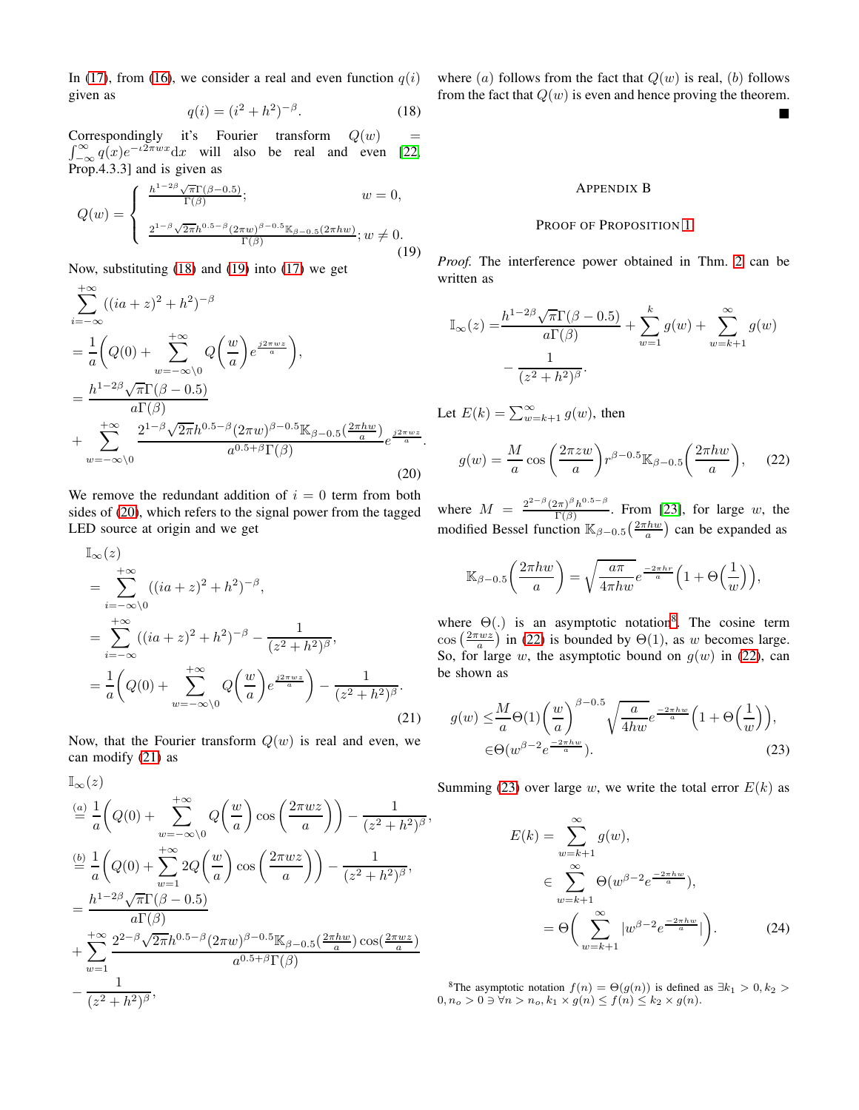In [\(17\)](#page-12-23), from [\(16\)](#page-12-24), we consider a real and even function  $q(i)$ given as

<span id="page-13-1"></span>
$$
q(i) = (i^2 + h^2)^{-\beta}.
$$
 (18)

Correspondingly it's Fourier transform  $Q(w)$  =  $\int_{-\infty}^{\infty} q(x)e^{-i2\pi wx}dx$  will also be real and even [\[22,](#page-12-22) Prop.4.3.3] and is given as

<span id="page-13-2"></span>
$$
Q(w) = \begin{cases} \frac{h^{1-2\beta}\sqrt{\pi}\Gamma(\beta-0.5)}{\Gamma(\beta)}; & w = 0, \\ \frac{2^{1-\beta}\sqrt{2\pi}h^{0.5-\beta}(2\pi w)^{\beta-0.5}\mathbb{K}_{\beta-0.5}(2\pi hw)}{\Gamma(\beta)}; w \neq 0. \end{cases}
$$
(19)

Now, substituting [\(18\)](#page-13-1) and [\(19\)](#page-13-2) into [\(17\)](#page-12-23) we get

$$
\sum_{i=-\infty}^{+\infty} ((ia + z)^2 + h^2)^{-\beta}
$$
\n
$$
= \frac{1}{a} \left( Q(0) + \sum_{w=-\infty}^{+\infty} Q\left(\frac{w}{a}\right) e^{\frac{j2\pi wz}{a}} \right),
$$
\n
$$
= \frac{h^{1-2\beta} \sqrt{\pi} \Gamma(\beta - 0.5)}{a \Gamma(\beta)}
$$
\n
$$
+ \sum_{w=-\infty}^{+\infty} \frac{2^{1-\beta} \sqrt{2\pi} h^{0.5-\beta} (2\pi w)^{\beta - 0.5} \mathbb{K}_{\beta - 0.5} \left(\frac{2\pi hw}{a}\right)}{a^{0.5+\beta} \Gamma(\beta)} e^{\frac{j2\pi wz}{a}}.
$$
\n(20)

We remove the redundant addition of  $i = 0$  term from both sides of [\(20\)](#page-13-3), which refers to the signal power from the tagged LED source at origin and we get

$$
\begin{split} &\mathbb{I}_{\infty}(z) \\ &= \sum_{i=-\infty}^{+\infty} ((ia+z)^2 + h^2)^{-\beta}, \\ &= \sum_{i=-\infty}^{+\infty} ((ia+z)^2 + h^2)^{-\beta} - \frac{1}{(z^2 + h^2)^{\beta}}, \\ &= \frac{1}{a} \bigg( Q(0) + \sum_{w=-\infty}^{+\infty} Q\bigg(\frac{w}{a}\bigg) e^{\frac{j2\pi wz}{a}} \bigg) - \frac{1}{(z^2 + h^2)^{\beta}}. \end{split} \tag{21}
$$

Now, that the Fourier transform  $Q(w)$  is real and even, we can modify [\(21\)](#page-13-0) as

$$
\begin{split}\n\mathbb{I}_{\infty}(z) & \stackrel{(a)}{=} \frac{1}{a} \left( Q(0) + \sum_{w=-\infty}^{+\infty} Q\left(\frac{w}{a}\right) \cos\left(\frac{2\pi wz}{a}\right) \right) - \frac{1}{(z^2 + h^2)^{\beta}} \\
& \stackrel{(b)}{=} \frac{1}{a} \left( Q(0) + \sum_{w=1}^{+\infty} 2Q\left(\frac{w}{a}\right) \cos\left(\frac{2\pi wz}{a}\right) \right) - \frac{1}{(z^2 + h^2)^{\beta}}, \\
& = \frac{h^{1-2\beta} \sqrt{\pi} \Gamma(\beta - 0.5)}{a \Gamma(\beta)} \\
& + \sum_{w=1}^{+\infty} \frac{2^{2-\beta} \sqrt{2\pi} h^{0.5-\beta} (2\pi w)^{\beta - 0.5} \mathbb{K}_{\beta - 0.5} \left(\frac{2\pi kw}{a}\right) \cos\left(\frac{2\pi wz}{a}\right)}{a^{0.5+\beta} \Gamma(\beta)} \\
& - \frac{1}{(z^2 + h^2)^{\beta}},\n\end{split}
$$

where  $(a)$  follows from the fact that  $Q(w)$  is real,  $(b)$  follows from the fact that  $Q(w)$  is even and hence proving the theorem.  $\blacksquare$ 

#### APPENDIX B

#### PROOF OF PROPOSITION [1](#page-4-3)

*Proof.* The interference power obtained in Thm. [2](#page-3-6) can be written as

$$
\mathbb{I}_{\infty}(z) = \frac{h^{1-2\beta}\sqrt{\pi}\Gamma(\beta-0.5)}{a\Gamma(\beta)} + \sum_{w=1}^{k} g(w) + \sum_{w=k+1}^{\infty} g(w)
$$

$$
-\frac{1}{(z^2+h^2)^{\beta}}.
$$

Let  $E(k) = \sum_{w=k+1}^{\infty} g(w)$ , then

,

<span id="page-13-5"></span>
$$
g(w) = \frac{M}{a} \cos\left(\frac{2\pi zw}{a}\right) r^{\beta - 0.5} \mathbb{K}_{\beta - 0.5} \left(\frac{2\pi hw}{a}\right), \quad (22)
$$

<span id="page-13-3"></span>where  $M = \frac{2^{2-\beta} (2\pi)^{\beta} h^{0.5-\beta}}{\Gamma(\beta)}$  $\frac{f(\pi)^n h^{1-n}}{\Gamma(\beta)}$ . From [\[23\]](#page-12-25), for large w, the modified Bessel function  $\mathbb{K}_{\beta-0.5}\left(\frac{2\pi hw}{a}\right)$  can be expanded as

$$
\mathbb{K}_{\beta-0.5}\bigg(\frac{2\pi hw}{a}\bigg) = \sqrt{\frac{a\pi}{4\pi hw}}e^{\frac{-2\pi hr}{a}}\Big(1+\Theta\Big(\frac{1}{w}\Big)\Big),\,
$$

where  $\Theta(.)$  is an asymptotic notation<sup>[8](#page-13-4)</sup>. The cosine term  $\cos\left(\frac{2\pi wz}{a}\right)$  in [\(22\)](#page-13-5) is bounded by  $\Theta(1)$ , as w becomes large. So, for large w, the asymptotic bound on  $g(w)$  in [\(22\)](#page-13-5), can be shown as

<span id="page-13-0"></span>
$$
g(w) \leq \frac{M}{a} \Theta(1) \left(\frac{w}{a}\right)^{\beta - 0.5} \sqrt{\frac{a}{4hw}} e^{\frac{-2\pi hw}{a}} \left(1 + \Theta\left(\frac{1}{w}\right)\right),
$$
  

$$
\in \Theta(w^{\beta - 2} e^{\frac{-2\pi hw}{a}}).
$$
 (23)

Summing [\(23\)](#page-13-6) over large w, we write the total error  $E(k)$  as

<span id="page-13-6"></span>
$$
E(k) = \sum_{w=k+1}^{\infty} g(w),
$$
  
\n
$$
\in \sum_{w=k+1}^{\infty} \Theta(w^{\beta - 2} e^{\frac{-2\pi hw}{a}}),
$$
  
\n
$$
= \Theta\left(\sum_{w=k+1}^{\infty} |w^{\beta - 2} e^{\frac{-2\pi hw}{a}}|\right).
$$
 (24)

<span id="page-13-4"></span><sup>8</sup>The asymptotic notation  $f(n) = \Theta(g(n))$  is defined as  $\exists k_1 > 0, k_2 >$  $0, n_o > 0 \ni \forall n > n_o, k_1 \times g(n) \leq f(n) \leq k_2 \times g(n).$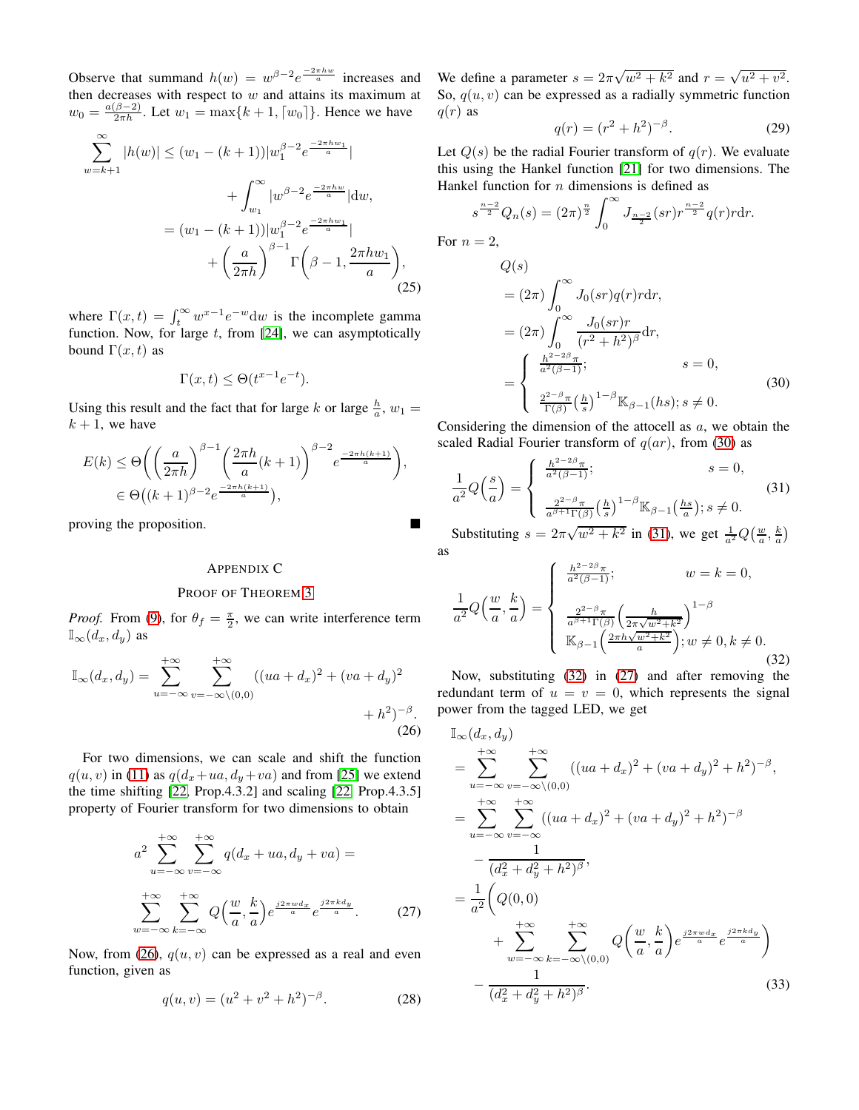Observe that summand  $h(w) = w^{\beta - 2} e^{\frac{-2\pi hw}{a}}$  increases and then decreases with respect to  $w$  and attains its maximum at  $w_0 = \frac{a(\beta - 2)}{2\pi h}$ . Let  $w_1 = \max\{k + 1, [w_0]\}$ . Hence we have

$$
\sum_{w=k+1}^{\infty} |h(w)| \le (w_1 - (k+1))|w_1^{\beta - 2} e^{\frac{-2\pi h w_1}{a}}|
$$
  
+ 
$$
\int_{w_1}^{\infty} |w^{\beta - 2} e^{\frac{-2\pi h w_1}{a}}| \, \mathrm{d}w,
$$
  
= 
$$
(w_1 - (k+1))|w_1^{\beta - 2} e^{\frac{-2\pi h w_1}{a}}|
$$
  
+ 
$$
\left(\frac{a}{2\pi h}\right)^{\beta - 1} \Gamma\left(\beta - 1, \frac{2\pi h w_1}{a}\right), \tag{25}
$$

where  $\Gamma(x,t) = \int_t^{\infty} w^{x-1} e^{-w} dw$  is the incomplete gamma function. Now, for large  $t$ , from [\[24\]](#page-12-26), we can asymptotically bound  $\Gamma(x, t)$  as

$$
\Gamma(x,t) \le \Theta(t^{x-1}e^{-t}).
$$

Using this result and the fact that for large k or large  $\frac{h}{a}$ ,  $w_1 =$  $k + 1$ , we have

$$
E(k) \leq \Theta\left( \left( \frac{a}{2\pi h} \right)^{\beta - 1} \left( \frac{2\pi h}{a} (k+1) \right)^{\beta - 2} e^{\frac{-2\pi h (k+1)}{a}} \right),
$$
  

$$
\in \Theta\left( (k+1)^{\beta - 2} e^{\frac{-2\pi h (k+1)}{a}} \right),
$$

proving the proposition.

## APPENDIX C

# PROOF OF THEOREM [3](#page-8-0)

*Proof.* From [\(9\)](#page-3-3), for  $\theta_f = \frac{\pi}{2}$ , we can write interference term  $\mathbb{I}_{\infty}(d_{x}, d_{y})$  as

$$
\mathbb{I}_{\infty}(d_x, d_y) = \sum_{u = -\infty}^{+\infty} \sum_{v = -\infty \setminus (0,0)}^{+\infty} ((ua + d_x)^2 + (va + d_y)^2 + h^2)^{-\beta}.
$$
\n(26)

For two dimensions, we can scale and shift the function  $q(u, v)$  in [\(11\)](#page-3-7) as  $q(d_x+ua, d_y+va)$  and from [\[25\]](#page-12-27) we extend the time shifting [\[22,](#page-12-22) Prop.4.3.2] and scaling [\[22,](#page-12-22) Prop.4.3.5] property of Fourier transform for two dimensions to obtain

<span id="page-14-7"></span>
$$
a^{2} \sum_{u=-\infty}^{+\infty} \sum_{v=-\infty}^{+\infty} q(d_{x} + ua, d_{y} + va) =
$$
  

$$
\sum_{w=-\infty}^{+\infty} \sum_{k=-\infty}^{+\infty} Q\left(\frac{w}{a}, \frac{k}{a}\right) e^{\frac{j2\pi w d_{x}}{a}} e^{\frac{j2\pi k d_{y}}{a}}.
$$
 (27)

Now, from [\(26\)](#page-14-3),  $q(u, v)$  can be expressed as a real and even function, given as

<span id="page-14-8"></span>
$$
q(u, v) = (u^2 + v^2 + h^2)^{-\beta}.
$$
 (28)

We define a parameter  $s = 2\pi\sqrt{w^2 + k^2}$  and  $r = \sqrt{u^2 + v^2}$ . So,  $q(u, v)$  can be expressed as a radially symmetric function  $q(r)$  as

<span id="page-14-4"></span><span id="page-14-2"></span>
$$
q(r) = (r^2 + h^2)^{-\beta}.
$$
 (29)

Let  $Q(s)$  be the radial Fourier transform of  $q(r)$ . We evaluate this using the Hankel function [\[21\]](#page-12-20) for two dimensions. The Hankel function for  $n$  dimensions is defined as

<span id="page-14-0"></span>For  $n$ 

$$
s^{\frac{n-2}{2}}Q_n(s) = (2\pi)^{\frac{n}{2}} \int_0^\infty J_{\frac{n-2}{2}}(sr)r^{\frac{n-2}{2}}q(r)r dr.
$$
  
\n= 2,  
\n
$$
Q(s)
$$
  
\n=  $(2\pi) \int_0^\infty J_0(sr)q(r)r dr$ ,  
\n=  $(2\pi) \int_0^\infty \frac{J_0(sr)r}{(r^2 + h^2)^\beta} dr$ ,  
\n=  $\begin{cases} \frac{h^{2-2\beta}\pi}{a^2(\beta-1)}; & s = 0, \\ \frac{2^{2-\beta}\pi}{\Gamma(\beta)} {n \choose s}^{1-\beta} \mathbb{K}_{\beta-1}(hs); s \neq 0. \end{cases}$  (30)

Considering the dimension of the attocell as  $a$ , we obtain the scaled Radial Fourier transform of  $q(ar)$ , from [\(30\)](#page-14-4) as

<span id="page-14-5"></span>
$$
\frac{1}{a^2}Q\left(\frac{s}{a}\right) = \begin{cases} \frac{h^{2-2\beta}\pi}{a^2(\beta-1)}; & s = 0, \\ \frac{2^{2-\beta}\pi}{a^{\beta+1}\Gamma(\beta)}\left(\frac{h}{s}\right)^{1-\beta}\mathbb{K}_{\beta-1}\left(\frac{hs}{a}\right); s \neq 0. \end{cases}
$$
(31)

Substituting  $s = 2\pi\sqrt{w^2 + k^2}$  in [\(31\)](#page-14-5), we get  $\frac{1}{a^2}Q(\frac{w}{a}, \frac{k}{a})$ as

<span id="page-14-6"></span>
$$
\frac{1}{a^2}Q\left(\frac{w}{a},\frac{k}{a}\right) = \begin{cases} \frac{h^{2-2\beta}\pi}{a^2(\beta-1)}; & w = k = 0, \\ \frac{2^{2-\beta}\pi}{a^{\beta+1}\Gamma(\beta)}\left(\frac{h}{2\pi\sqrt{w^2+k^2}}\right)^{1-\beta} \\ \mathbb{K}_{\beta-1}\left(\frac{2\pi h\sqrt{w^2+k^2}}{a}\right); w \neq 0, k \neq 0. \end{cases}
$$
\n(32)

Now, substituting [\(32\)](#page-14-6) in [\(27\)](#page-14-7) and after removing the redundant term of  $u = v = 0$ , which represents the signal power from the tagged LED, we get

<span id="page-14-3"></span><span id="page-14-1"></span>
$$
\begin{split}\n\mathbb{I}_{\infty}(d_{x}, d_{y}) \\
&= \sum_{u=-\infty}^{+\infty} \sum_{v=-\infty\backslash(0,0)}^{+\infty} ((ua+d_{x})^{2} + (va+d_{y})^{2} + h^{2})^{-\beta}, \\
&= \sum_{u=-\infty}^{+\infty} \sum_{v=-\infty}^{+\infty} ((ua+d_{x})^{2} + (va+d_{y})^{2} + h^{2})^{-\beta} \\
&- \frac{1}{(d_{x}^{2} + d_{y}^{2} + h^{2})^{\beta}}, \\
&= \frac{1}{a^{2}} \left(Q(0,0) + \sum_{w=-\infty}^{+\infty} \sum_{k=-\infty\backslash(0,0)}^{+\infty} Q\left(\frac{w}{a}, \frac{k}{a}\right) e^{\frac{j2\pi w d_{x}}{a}} e^{\frac{j2\pi k d_{y}}{a}}\right) \\
&- \frac{1}{(d_{x}^{2} + d_{y}^{2} + h^{2})^{\beta}}.\n\end{split} \tag{33}
$$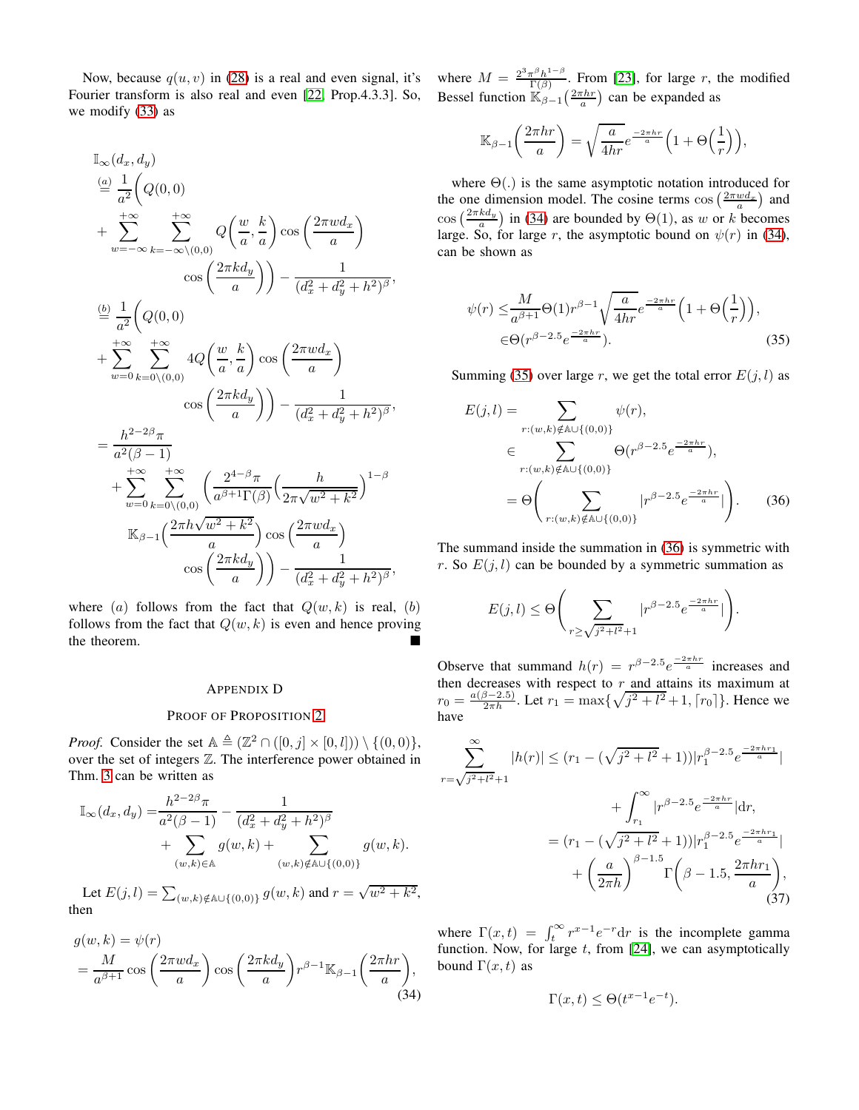Now, because  $q(u, v)$  in [\(28\)](#page-14-8) is a real and even signal, it's Fourier transform is also real and even [\[22,](#page-12-22) Prop.4.3.3]. So, we modify [\(33\)](#page-14-1) as

$$
\begin{split}\n\mathbb{I}_{\infty}(d_x, d_y) \\
&\stackrel{(a)}{=} \frac{1}{a^2} \bigg( Q(0, 0) \\
&\quad + \sum_{w=-\infty}^{+\infty} \sum_{k=-\infty \setminus (0, 0)}^{+\infty} Q\bigg( \frac{w}{a}, \frac{k}{a} \bigg) \cos\bigg( \frac{2\pi w d_x}{a} \bigg) \\
&\quad \cos\bigg( \frac{2\pi k d_y}{a} \bigg) \bigg) - \frac{1}{(d_x^2 + d_y^2 + h^2)^{\beta}}, \\
\frac{(b)}{=} \frac{1}{a^2} \bigg( Q(0, 0) \\
&\quad + \sum_{w=0}^{+\infty} \sum_{k=0 \setminus (0, 0)}^{+\infty} 4Q\bigg( \frac{w}{a}, \frac{k}{a} \bigg) \cos\bigg( \frac{2\pi w d_x}{a} \bigg) \\
&\quad \cos\bigg( \frac{2\pi k d_y}{a} \bigg) \bigg) - \frac{1}{(d_x^2 + d_y^2 + h^2)^{\beta}}, \\
&\quad = \frac{h^{2-2\beta} \pi}{a^2(\beta - 1)} \\
&\quad + \sum_{w=0}^{+\infty} \sum_{k=0 \setminus (0, 0)}^{+\infty} \bigg( \frac{2^{4-\beta} \pi}{a^{\beta+1} \Gamma(\beta)} \bigg( \frac{h}{2\pi \sqrt{w^2 + k^2}} \bigg)^{1-\beta} \\
&\quad \mathbb{K}_{\beta-1} \bigg( \frac{2\pi h \sqrt{w^2 + k^2}}{a} \bigg) \cos\bigg( \frac{2\pi w d_x}{a} \bigg) \\
&\quad \cos\bigg( \frac{2\pi k d_y}{a} \bigg) \bigg) - \frac{1}{(d_x^2 + d_y^2 + h^2)^{\beta}},\n\end{split}
$$

where (a) follows from the fact that  $Q(w, k)$  is real, (b) follows from the fact that  $Q(w, k)$  is even and hence proving the theorem.

## APPENDIX D

# PROOF OF PROPOSITION [2](#page-8-2)

*Proof.* Consider the set  $A \triangleq (\mathbb{Z}^2 \cap ([0, j] \times [0, l])) \setminus \{(0, 0)\},$ over the set of integers Z. The interference power obtained in Thm. [3](#page-8-0) can be written as

$$
\mathbb{I}_{\infty}(d_x, d_y) = \frac{h^{2-2\beta}\pi}{a^2(\beta-1)} - \frac{1}{(d_x^2 + d_y^2 + h^2)^{\beta}} + \sum_{(w,k)\in\mathbb{A}} g(w,k) + \sum_{(w,k)\notin\mathbb{A}\cup\{(0,0)\}} g(w,k).
$$

Let  $E(j, l) = \sum_{(w,k)\notin \mathbb{A}\cup\{(0,0)\}} g(w, k)$  and  $r = \sqrt{w^2 + k^2}$ , then

$$
g(w,k) = \psi(r)
$$
  
=  $\frac{M}{a^{\beta+1}} \cos\left(\frac{2\pi w d_x}{a}\right) \cos\left(\frac{2\pi k d_y}{a}\right) r^{\beta-1} \mathbb{K}_{\beta-1}\left(\frac{2\pi hr}{a}\right),$  (34)

where  $M = \frac{2^3 \pi^{\beta} h^{1-\beta}}{\Gamma(\beta)}$  $\frac{\tau^{\beta}h^{\gamma-\beta}}{\Gamma(\beta)}$ . From [\[23\]](#page-12-25), for large r, the modified Bessel function  $\mathbb{K}_{\beta-1} \left( \frac{2\pi hr}{a} \right)$  can be expanded as

$$
\mathbb{K}_{\beta-1}\left(\frac{2\pi hr}{a}\right) = \sqrt{\frac{a}{4hr}}e^{\frac{-2\pi hr}{a}}\left(1 + \Theta\left(\frac{1}{r}\right)\right),\,
$$

where  $\Theta(.)$  is the same asymptotic notation introduced for the one dimension model. The cosine terms  $\cos\left(\frac{2\pi w d_x}{a}\right)$  and the one dimension model. The cosme terms cos  $\begin{pmatrix} a \\ a \end{pmatrix}$  and<br>cos  $\begin{pmatrix} \frac{2\pi kdy}{a} \end{pmatrix}$  in [\(34\)](#page-15-1) are bounded by  $\Theta(1)$ , as w or k becomes large. So, for large r, the asymptotic bound on  $\psi(r)$  in [\(34\)](#page-15-1), can be shown as

<span id="page-15-2"></span>
$$
\psi(r) \leq \frac{M}{a^{\beta+1}} \Theta(1) r^{\beta-1} \sqrt{\frac{a}{4hr}} e^{-\frac{2\pi hr}{a}} \left( 1 + \Theta\left(\frac{1}{r}\right) \right),
$$
  

$$
\in \Theta(r^{\beta-2.5} e^{-\frac{2\pi hr}{a}}).
$$
 (35)

Summing [\(35\)](#page-15-2) over large r, we get the total error  $E(j, l)$  as

$$
E(j,l) = \sum_{r:(w,k)\notin\mathbb{A}\cup\{(0,0)\}} \psi(r),
$$
  
\n
$$
\in \sum_{r:(w,k)\notin\mathbb{A}\cup\{(0,0)\}} \Theta(r^{\beta-2.5}e^{\frac{-2\pi hr}{a}}),
$$
  
\n
$$
= \Theta\left(\sum_{r:(w,k)\notin\mathbb{A}\cup\{(0,0)\}} |r^{\beta-2.5}e^{\frac{-2\pi hr}{a}}|\right).
$$
 (36)

The summand inside the summation in [\(36\)](#page-15-3) is symmetric with r. So  $E(j, l)$  can be bounded by a symmetric summation as

<span id="page-15-3"></span>
$$
E(j,l) \leq \Theta\Bigg(\sum_{r \geq \sqrt{j^2 + l^2} + 1} |r^{\beta - 2.5}e^{\frac{-2\pi hr}{a}}| \Bigg).
$$

Observe that summand  $h(r) = r^{\beta - 2.5} e^{\frac{-2\pi hr}{a}}$  increases and then decreases with respect to  $r$  and attains its maximum at  $r_0 = \frac{a(\beta - 2.5)}{2\pi h}$ . Let  $r_1 = \max{\sqrt{j^2 + l^2} + 1, \lceil r_0 \rceil}$ . Hence we have

$$
\sum_{r=\sqrt{j^2+l^2}+1}^{\infty} |h(r)| \le (r_1 - (\sqrt{j^2+l^2}+1)) |r_1^{\beta-2.5}e^{\frac{-2\pi hr_1}{a}}|
$$

$$
+ \int_{r_1}^{\infty} |r^{\beta-2.5}e^{\frac{-2\pi hr}{a}}|dr,
$$

$$
= (r_1 - (\sqrt{j^2+l^2}+1)) |r_1^{\beta-2.5}e^{\frac{-2\pi hr_1}{a}}|
$$

$$
+ \left(\frac{a}{2\pi h}\right)^{\beta-1.5} \Gamma\left(\beta-1.5, \frac{2\pi hr_1}{a}\right), \tag{37}
$$

<span id="page-15-1"></span>where  $\Gamma(x,t) = \int_t^{\infty} r^{x-1} e^{-r} dr$  is the incomplete gamma function. Now, for large  $t$ , from [\[24\]](#page-12-26), we can asymptotically bound  $\Gamma(x, t)$  as

<span id="page-15-0"></span>
$$
\Gamma(x,t) \le \Theta(t^{x-1}e^{-t}).
$$